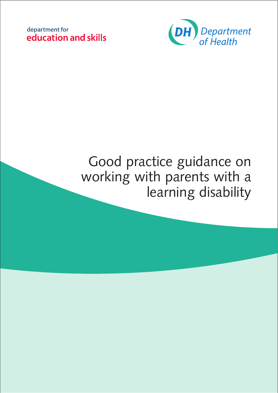



# Good practice guidance on working with parents with a learning disability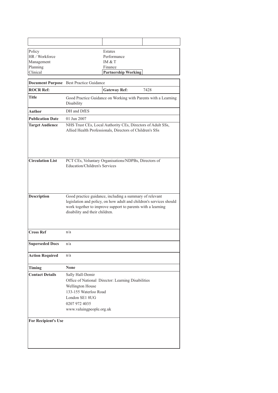| Policy                     |                                                                                                                              | Estates                                                                                                                                                                                       |      |
|----------------------------|------------------------------------------------------------------------------------------------------------------------------|-----------------------------------------------------------------------------------------------------------------------------------------------------------------------------------------------|------|
| HR / Workforce             |                                                                                                                              | Performance                                                                                                                                                                                   |      |
| Management                 |                                                                                                                              | IM $&$ T                                                                                                                                                                                      |      |
| Planning                   |                                                                                                                              | Finance                                                                                                                                                                                       |      |
| Clinical                   |                                                                                                                              | <b>Partnership Working</b>                                                                                                                                                                    |      |
|                            | Document Purpose Best Practice Guidance                                                                                      |                                                                                                                                                                                               |      |
| <b>ROCR Ref:</b>           |                                                                                                                              | <b>Gateway Ref:</b>                                                                                                                                                                           | 7428 |
| Title                      | Disability                                                                                                                   | Good Practice Guidance on Working with Parents with a Learning                                                                                                                                |      |
| <b>Author</b>              | DH and DfES                                                                                                                  |                                                                                                                                                                                               |      |
| <b>Publication Date</b>    | 01 Jun 2007                                                                                                                  |                                                                                                                                                                                               |      |
| <b>Target Audience</b>     |                                                                                                                              | NHS Trust CEs, Local Authority CEs, Directors of Adult SSs,<br>Allied Health Professionals, Directors of Children's SSs                                                                       |      |
| <b>Circulation List</b>    | <b>Education/Children's Services</b>                                                                                         | PCT CEs, Voluntary Organisations/NDPBs, Directors of                                                                                                                                          |      |
| <b>Description</b>         | disability and their children.                                                                                               | Good practice guidance, including a summary of relevant<br>legislation and policy, on how adult and children's services should<br>work together to improve support to parents with a learning |      |
| <b>Cross Ref</b>           | n/a                                                                                                                          |                                                                                                                                                                                               |      |
| <b>Superseded Docs</b>     | n/a                                                                                                                          |                                                                                                                                                                                               |      |
| <b>Action Required</b>     | n/a                                                                                                                          |                                                                                                                                                                                               |      |
| <b>Timing</b>              | <b>None</b>                                                                                                                  |                                                                                                                                                                                               |      |
| <b>Contact Details</b>     | Sally Hall-Demir<br>Wellington House<br>133-155 Waterloo Road<br>London SE1 8UG<br>0207 972 4035<br>www.valuingpeople.org.uk | Office of National Director: Learning Disabilities                                                                                                                                            |      |
| <b>For Recipient's Use</b> |                                                                                                                              |                                                                                                                                                                                               |      |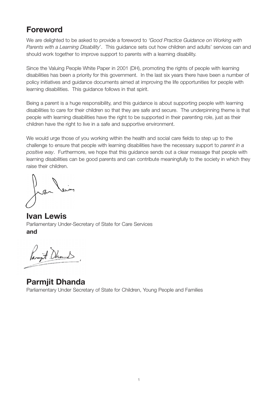# **Foreword**

We are delighted to be asked to provide a foreword to *'Good Practice Guidance on Working with Parents with a Learning Disability*'. This guidance sets out how children and adults' services can and should work together to improve support to parents with a learning disability.

Since the Valuing People White Paper in 2001 (DH), promoting the rights of people with learning disabilities has been a priority for this government. In the last six years there have been a number of policy initiatives and guidance documents aimed at improving the life opportunities for people with learning disabilities. This guidance follows in that spirit.

Being a parent is a huge responsibility, and this guidance is about supporting people with learning disabilities to care for their children so that they are safe and secure. The underpinning theme is that people with learning disabilities have the right to be supported in their parenting role, just as their children have the right to live in a safe and supportive environment.

We would urge those of you working within the health and social care fields to step up to the challenge to ensure that people with learning disabilities have the necessary support to *parent in a positive way*. Furthermore, we hope that this guidance sends out a clear message that people with learning disabilities can be good parents and can contribute meaningfully to the society in which they raise their children.

**Ivan Lewis**  Parliamentary Under-Secretary of State for Care Services **and** 

Panyt Dhand

**Parmjit Dhanda** Parliamentary Under Secretary of State for Children, Young People and Families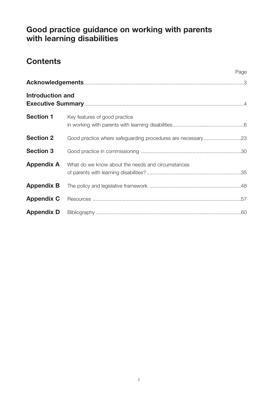# **Good practice guidance on working with parents with learning disabilities**

# **Contents**

|                         | Page                                                         |  |
|-------------------------|--------------------------------------------------------------|--|
|                         |                                                              |  |
| <b>Introduction and</b> |                                                              |  |
| <b>Section 1</b>        | Key features of good practice                                |  |
| <b>Section 2</b>        | Good practice where safeguarding procedures are necessary 23 |  |
| <b>Section 3</b>        |                                                              |  |
| <b>Appendix A</b>       | What do we know about the needs and circumstances            |  |
| <b>Appendix B</b>       |                                                              |  |
| <b>Appendix C</b>       |                                                              |  |
| <b>Appendix D</b>       |                                                              |  |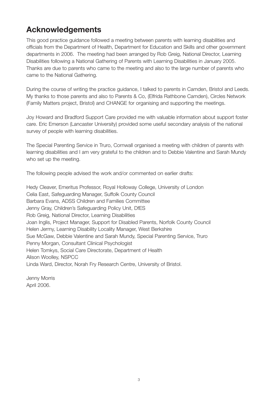# **Acknowledgements**

This good practice guidance followed a meeting between parents with learning disabilities and officials from the Department of Health, Department for Education and Skills and other government departments in 2006. The meeting had been arranged by Rob Greig, National Director, Learning Disabilities following a National Gathering of Parents with Learning Disabilities in January 2005. Thanks are due to parents who came to the meeting and also to the large number of parents who came to the National Gathering.

During the course of writing the practice guidance, I talked to parents in Camden, Bristol and Leeds. My thanks to those parents and also to Parents & Co, (Elfrida Rathbone Camden), Circles Network (Family Matters project, Bristol) and CHANGE for organising and supporting the meetings.

Joy Howard and Bradford Support Care provided me with valuable information about support foster care. Eric Emerson (Lancaster University) provided some useful secondary analysis of the national survey of people with learning disabilities.

The Special Parenting Service in Truro, Cornwall organised a meeting with children of parents with learning disabilities and I am very grateful to the children and to Debbie Valentine and Sarah Mundy who set up the meeting.

The following people advised the work and/or commented on earlier drafts:

Hedy Cleaver, Emeritus Professor, Royal Holloway College, University of London Celia East, Safeguarding Manager, Suffolk County Council Barbara Evans, ADSS Children and Families Committee Jenny Gray, Children's Safeguarding Policy Unit, DfES Rob Greig, National Director, Learning Disabilities Joan Inglis, Project Manager, Support for Disabled Parents, Norfolk County Council Helen Jermy, Learning Disability Locality Manager, West Berkshire Sue McGaw, Debbie Valentine and Sarah Mundy, Special Parenting Service, Truro Penny Morgan, Consultant Clinical Psychologist Helen Tomkys, Social Care Directorate, Department of Health Alison Woolley, NSPCC Linda Ward, Director, Norah Fry Research Centre, University of Bristol.

Jenny Morris April 2006.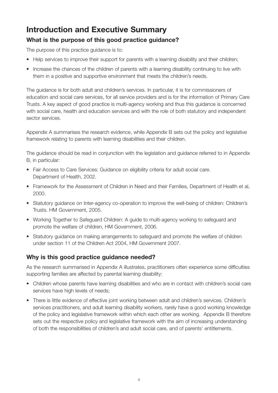# **Introduction and Executive Summary**

# **What is the purpose of this good practice guidance?**

The purpose of this practice guidance is to:

- Help services to improve their support for parents with a learning disability and their children;
- Increase the chances of the children of parents with a learning disability continuing to live with them in a positive and supportive environment that meets the children's needs.

The guidance is for both adult and children's services. In particular, it is for commissioners of education and social care services, for all service providers and is for the information of Primary Care Trusts. A key aspect of good practice is multi-agency working and thus this guidance is concerned with social care, health and education services and with the role of both statutory and independent sector services.

Appendix A summarises the research evidence, while Appendix B sets out the policy and legislative framework relating to parents with learning disabilities and their children.

The guidance should be read in conjunction with the legislation and guidance referred to in Appendix B, in particular:

- Fair Access to Care Services: Guidance on eligibility criteria for adult social care. Department of Health, 2002.
- Framework for the Assessment of Children in Need and their Families, Department of Health et al, 2000.
- Statutory guidance on Inter-agency co-operation to improve the well-being of children: Children's Trusts. HM Government, 2005.
- Working Together to Safeguard Children: A guide to multi-agency working to safeguard and promote the welfare of children, HM Government, 2006.
- Statutory guidance on making arrangements to safeguard and promote the welfare of children under section 11 of the Children Act 2004, HM Government 2007.

# **Why is this good practice guidance needed?**

As the research summarised in Appendix A illustrates, practitioners often experience some difficulties supporting families are affected by parental learning disability:

- Children whose parents have learning disabilities and who are in contact with children's social care services have high levels of needs;
- There is little evidence of effective joint working between adult and children's services. Children's services practitioners, and adult learning disability workers, rarely have a good working knowledge of the policy and legislative framework within which each other are working. Appendix B therefore sets out the respective policy and legislative framework with the aim of increasing understanding of both the responsibilities of children's and adult social care, and of parents' entitlements.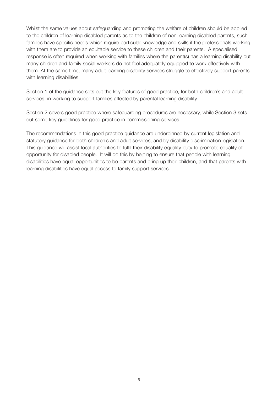Whilst the same values about safeguarding and promoting the welfare of children should be applied to the children of learning disabled parents as to the children of non-learning disabled parents, such families have specific needs which require particular knowledge and skills if the professionals working with them are to provide an equitable service to these children and their parents. A specialised response is often required when working with families where the parent(s) has a learning disability but many children and family social workers do not feel adequately equipped to work effectively with them. At the same time, many adult learning disability services struggle to effectively support parents with learning disabilities.

Section 1 of the guidance sets out the key features of good practice, for both children's and adult services, in working to support families affected by parental learning disability.

Section 2 covers good practice where safeguarding procedures are necessary, while Section 3 sets out some key guidelines for good practice in commissioning services.

The recommendations in this good practice guidance are underpinned by current legislation and statutory guidance for both children's and adult services, and by disability discrimination legislation. This guidance will assist local authorities to fulfil their disability equality duty to promote equality of opportunity for disabled people. It will do this by helping to ensure that people with learning disabilities have equal opportunities to be parents and bring up their children, and that parents with learning disabilities have equal access to family support services.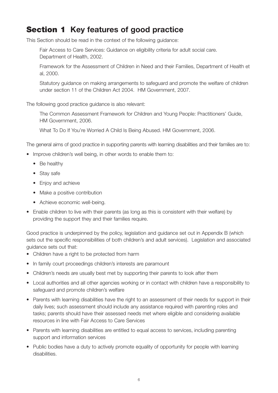# **Section 1 Key features of good practice**

This Section should be read in the context of the following guidance:

Fair Access to Care Services: Guidance on eligibility criteria for adult social care. Department of Health, 2002.

Framework for the Assessment of Children in Need and their Families, Department of Health et al, 2000.

Statutory guidance on making arrangements to safeguard and promote the welfare of children under section 11 of the Children Act 2004. HM Government, 2007.

The following good practice guidance is also relevant:

The Common Assessment Framework for Children and Young People: Practitioners' Guide, HM Government, 2006.

What To Do If You're Worried A Child Is Being Abused. HM Government, 2006.

The general aims of good practice in supporting parents with learning disabilities and their families are to:

- Improve children's well being, in other words to enable them to:
	- Be healthy
	- Stay safe
	- Enjoy and achieve
	- Make a positive contribution
	- Achieve economic well-being.
- Enable children to live with their parents (as long as this is consistent with their welfare) by providing the support they and their families require.

Good practice is underpinned by the policy, legislation and guidance set out in Appendix B (which sets out the specific responsibilities of both children's and adult services). Legislation and associated guidance sets out that:

- Children have a right to be protected from harm
- In family court proceedings children's interests are paramount
- Children's needs are usually best met by supporting their parents to look after them
- Local authorities and all other agencies working or in contact with children have a responsibility to safeguard and promote children's welfare
- Parents with learning disabilities have the right to an assessment of their needs for support in their daily lives; such assessment should include any assistance required with parenting roles and tasks; parents should have their assessed needs met where eligible and considering available resources in line with Fair Access to Care Services
- Parents with learning disabilities are entitled to equal access to services, including parenting support and information services
- Public bodies have a duty to actively promote equality of opportunity for people with learning disabilities.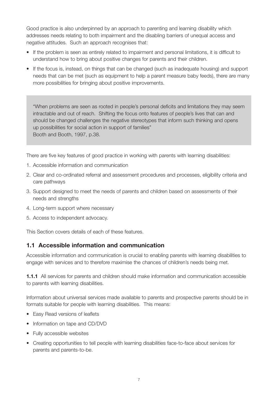Good practice is also underpinned by an approach to parenting and learning disability which addresses needs relating to both impairment and the disabling barriers of unequal access and negative attitudes. Such an approach recognises that:

- If the problem is seen as entirely related to impairment and personal limitations, it is difficult to understand how to bring about positive changes for parents and their children.
- If the focus is, instead, on things that can be changed (such as inadequate housing) and support needs that can be met (such as equipment to help a parent measure baby feeds), there are many more possibilities for bringing about positive improvements.

"When problems are seen as rooted in people's personal deficits and limitations they may seem intractable and out of reach. Shifting the focus onto features of people's lives that can and should be changed challenges the negative stereotypes that inform such thinking and opens up possibilities for social action in support of families" Booth and Booth, 1997, p.38.

There are five key features of good practice in working with parents with learning disabilities:

- 1. Accessible information and communication
- 2. Clear and co-ordinated referral and assessment procedures and processes, eligibility criteria and care pathways
- 3. Support designed to meet the needs of parents and children based on assessments of their needs and strengths
- 4. Long-term support where necessary
- 5. Access to independent advocacy.

This Section covers details of each of these features.

### **1.1 Accessible information and communication**

Accessible information and communication is crucial to enabling parents with learning disabilities to engage with services and to therefore maximise the chances of children's needs being met.

**1.1.1** All services for parents and children should make information and communication accessible to parents with learning disabilities.

Information about universal services made available to parents and prospective parents should be in formats suitable for people with learning disabilities. This means:

- Easy Read versions of leaflets
- Information on tape and CD/DVD
- Fully accessible websites
- Creating opportunities to tell people with learning disabilities face-to-face about services for parents and parents-to-be.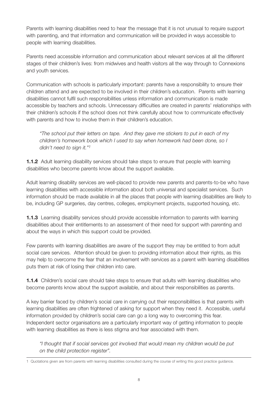Parents with learning disabilities need to hear the message that it is not unusual to require support with parenting, and that information and communication will be provided in ways accessible to people with learning disabilities.

Parents need accessible information and communication about relevant services at all the different stages of their children's lives: from midwives and health visitors all the way through to Connexions and youth services.

Communication with schools is particularly important: parents have a responsibility to ensure their children attend and are expected to be involved in their children's education. Parents with learning disabilities cannot fulfil such responsibilities unless information and communication is made accessible by teachers and schools. Unnecessary difficulties are created in parents' relationships with their children's schools if the school does not think carefully about how to communicate effectively with parents and how to involve them in their children's education.

*"The school put their letters on tape. And they gave me stickers to put in each of my children's homework book which I used to say when homework had been done, so I didn't need to sign it."1*

**1.1.2** Adult learning disability services should take steps to ensure that people with learning disabilities who become parents know about the support available.

Adult learning disability services are well-placed to provide new parents and parents-to-be who have learning disabilities with accessible information about both universal and specialist services. Such information should be made available in all the places that people with learning disabilities are likely to be, including GP surgeries, day centres, colleges, employment projects, supported housing, etc.

**1.1.3** Learning disability services should provide accessible information to parents with learning disabilities about their entitlements to an assessment of their need for support with parenting and about the ways in which this support could be provided.

Few parents with learning disabilities are aware of the support they may be entitled to from adult social care services. Attention should be given to providing information about their rights, as this may help to overcome the fear that an involvement with services as a parent with learning disabilities puts them at risk of losing their children into care.

**1.1.4** Children's social care should take steps to ensure that adults with learning disabilities who become parents know about the support available, and about their responsibilities as parents.

A key barrier faced by children's social care in carrying out their responsibilities is that parents with learning disabilities are often frightened of asking for support when they need it. Accessible, useful information provided by children's social care can go a long way to overcoming this fear. Independent sector organisations are a particularly important way of getting information to people with learning disabilities as there is less stigma and fear associated with them.

*"I thought that if social services got involved that would mean my children would be put on the child protection register".*

<sup>1</sup> Quotations given are from parents with learning disabilities consulted during the course of writing this good practice guidance.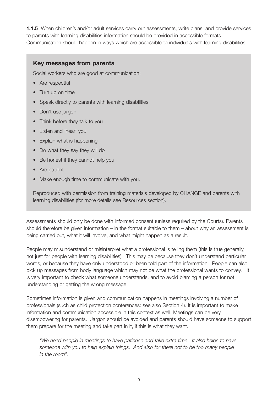**1.1.5** When children's and/or adult services carry out assessments, write plans, and provide services to parents with learning disabilities information should be provided in accessible formats. Communication should happen in ways which are accessible to individuals with learning disabilities.

### **Key messages from parents**

Social workers who are good at communication:

- Are respectful
- Turn up on time
- Speak directly to parents with learning disabilities
- Don't use jargon
- Think before they talk to you
- Listen and 'hear' you
- Explain what is happening
- Do what they say they will do
- Be honest if they cannot help you
- Are patient
- Make enough time to communicate with you.

Reproduced with permission from training materials developed by CHANGE and parents with learning disabilities (for more details see Resources section).

Assessments should only be done with informed consent (unless required by the Courts). Parents should therefore be given information – in the format suitable to them – about why an assessment is being carried out, what it will involve, and what might happen as a result.

People may misunderstand or misinterpret what a professional is telling them (this is true generally, not just for people with learning disabilities). This may be because they don't understand particular words, or because they have only understood or been told part of the information. People can also pick up messages from body language which may not be what the professional wants to convey. It is very important to check what someone understands, and to avoid blaming a person for not understanding or getting the wrong message.

Sometimes information is given and communication happens in meetings involving a number of professionals (such as child protection conferences: see also Section 4). It is important to make information and communication accessible in this context as well. Meetings can be very disempowering for parents. Jargon should be avoided and parents should have someone to support them prepare for the meeting and take part in it, if this is what they want.

*"We need people in meetings to have patience and take extra time. It also helps to have someone with you to help explain things. And also for there not to be too many people in the room".*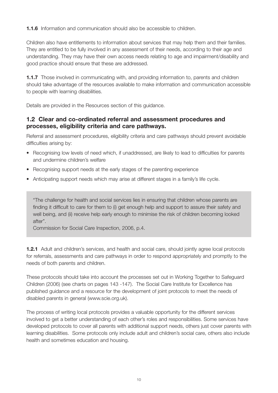**1.1.6** Information and communication should also be accessible to children.

Children also have entitlements to information about services that may help them and their families. They are entitled to be fully involved in any assessment of their needs, according to their age and understanding. They may have their own access needs relating to age and impairment/disability and good practice should ensure that these are addressed.

**1.1.7** Those involved in communicating with, and providing information to, parents and children should take advantage of the resources available to make information and communication accessible to people with learning disabilities.

Details are provided in the Resources section of this guidance.

### **1.2 Clear and co-ordinated referral and assessment procedures and processes, eligibility criteria and care pathways.**

Referral and assessment procedures, eligibility criteria and care pathways should prevent avoidable difficulties arising by:

- Recognising low levels of need which, if unaddressed, are likely to lead to difficulties for parents and undermine children's welfare
- Recognising support needs at the early stages of the parenting experience
- Anticipating support needs which may arise at different stages in a family's life cycle.

"The challenge for health and social services lies in ensuring that children whose parents are finding it difficult to care for them to (i) get enough help and support to assure their safety and well being, and (ii) receive help early enough to minimise the risk of children becoming looked after".

Commission for Social Care Inspection, 2006, p.4.

**1.2.1** Adult and children's services, and health and social care, should jointly agree local protocols for referrals, assessments and care pathways in order to respond appropriately and promptly to the needs of both parents and children.

These protocols should take into account the processes set out in Working Together to Safeguard Children (2006) (see charts on pages 143 -147). The Social Care Institute for Excellence has published guidance and a resource for the development of joint protocols to meet the needs of disabled parents in general (www.scie.org.uk).

The process of writing local protocols provides a valuable opportunity for the different services involved to get a better understanding of each other's roles and responsibilities. Some services have developed protocols to cover all parents with additional support needs, others just cover parents with learning disabilities. Some protocols only include adult and children's social care, others also include health and sometimes education and housing.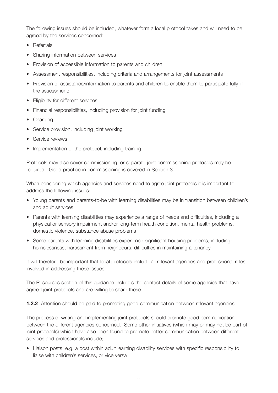The following issues should be included, whatever form a local protocol takes and will need to be agreed by the services concerned:

- Referrals
- Sharing information between services
- Provision of accessible information to parents and children
- Assessment responsibilities, including criteria and arrangements for joint assessments
- Provision of assistance/information to parents and children to enable them to participate fully in the assessment:
- Eligibility for different services
- Financial responsibilities, including provision for joint funding
- Charging
- Service provision, including joint working
- Service reviews
- Implementation of the protocol, including training.

Protocols may also cover commissioning, or separate joint commissioning protocols may be required. Good practice in commissioning is covered in Section 3.

When considering which agencies and services need to agree joint protocols it is important to address the following issues:

- Young parents and parents-to-be with learning disabilities may be in transition between children's and adult services
- Parents with learning disabilities may experience a range of needs and difficulties, including a physical or sensory impairment and/or long-term health condition, mental health problems, domestic violence, substance abuse problems
- Some parents with learning disabilities experience significant housing problems, including; homelessness, harassment from neighbours, difficulties in maintaining a tenancy.

It will therefore be important that local protocols include all relevant agencies and professional roles involved in addressing these issues.

The Resources section of this guidance includes the contact details of some agencies that have agreed joint protocols and are willing to share these.

**1.2.2** Attention should be paid to promoting good communication between relevant agencies.

The process of writing and implementing joint protocols should promote good communication between the different agencies concerned. Some other initiatives (which may or may not be part of joint protocols) which have also been found to promote better communication between different services and professionals include;

• Liaison posts: e.g. a post within adult learning disability services with specific responsibility to liaise with children's services, or vice versa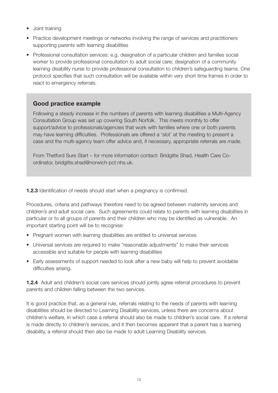- Joint training
- Practice development meetings or networks involving the range of services and practitioners supporting parents with learning disabilities
- Professional consultation services: e.g. designation of a particular children and families social worker to provide professional consultation to adult social care; designation of a community learning disability nurse to provide professional consultation to children's safeguarding teams. One protocol specifies that such consultation will be available within very short time frames in order to react to emergency referrals.

Following a steady increase in the numbers of parents with learning disabilities a Multi-Agency Consultation Group was set up covering South Norfolk. This meets monthly to offer support/advice to professionals/agencies that work with families where one or both parents may have learning difficulties. Professionals are offered a 'slot' at the meeting to present a case and the multi-agency team offer advice and, if necessary, appropriate referrals are made.

From Thetford Sure Start – for more information contact: Bridgitte Shad, Health Care Coordinator, bridgitte.shad@norwich-pct.nhs.uk.

**1.2.3** Identification of needs should start when a pregnancy is confirmed.

Procedures, criteria and pathways therefore need to be agreed between maternity services and children's and adult social care. Such agreements could relate to parents with learning disabilities in particular or to all groups of parents and their children who may be identified as vulnerable. An important starting point will be to recognise:

- Pregnant women with learning disabilities are entitled to universal services
- Universal services are required to make "reasonable adjustments" to make their services accessible and suitable for people with learning disabilities
- Early assessments of support needed to look after a new baby will help to prevent avoidable difficulties arising.

**1.2.4** Adult and children's social care services should jointly agree referral procedures to prevent parents and children falling between the two services.

It is good practice that, as a general rule, referrals relating to the needs of parents with learning disabilities should be directed to Learning Disability services, unless there are concerns about children's welfare, in which case a referral should also be made to children's social care. If a referral is made directly to children's services, and it then becomes apparent that a parent has a learning disability, a referral should then also be made to adult Learning Disability services.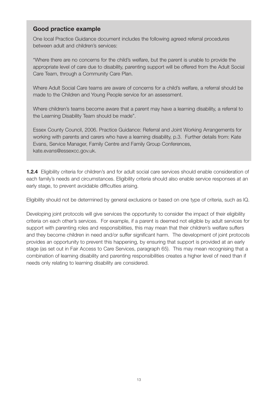One local Practice Guidance document includes the following agreed referral procedures between adult and children's services:

"Where there are no concerns for the child's welfare, but the parent is unable to provide the appropriate level of care due to disability, parenting support will be offered from the Adult Social Care Team, through a Community Care Plan.

Where Adult Social Care teams are aware of concerns for a child's welfare, a referral should be made to the Children and Young People service for an assessment.

Where children's teams become aware that a parent may have a learning disability, a referral to the Learning Disability Team should be made".

Essex County Council, 2006. Practice Guidance: Referral and Joint Working Arrangements for working with parents and carers who have a learning disability, p.3. Further details from: Kate Evans, Service Manager, Family Centre and Family Group Conferences, kate.evans@essexcc.gov.uk.

**1.2.4** Eligibility criteria for children's and for adult social care services should enable consideration of each family's needs and circumstances. Eligibility criteria should also enable service responses at an early stage, to prevent avoidable difficulties arising.

Eligibility should not be determined by general exclusions or based on one type of criteria, such as IQ.

Developing joint protocols will give services the opportunity to consider the impact of their eligibility criteria on each other's services. For example, if a parent is deemed not eligible by adult services for support with parenting roles and responsibilities, this may mean that their children's welfare suffers and they become children in need and/or suffer significant harm. The development of joint protocols provides an opportunity to prevent this happening, by ensuring that support is provided at an early stage (as set out in Fair Access to Care Services, paragraph 65). This may mean recognising that a combination of learning disability and parenting responsibilities creates a higher level of need than if needs only relating to learning disability are considered.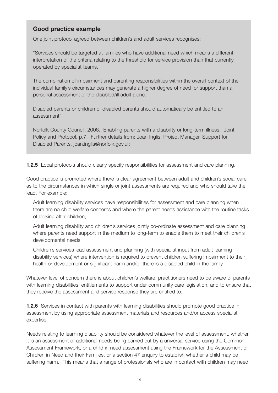One joint protocol agreed between children's and adult services recognises:

"Services should be targeted at families who have additional need which means a different interpretation of the criteria relating to the threshold for service provision than that currently operated by specialist teams.

The combination of impairment and parenting responsibilities within the overall context of the individual family's circumstances may generate a higher degree of need for support than a personal assessment of the disabled/ill adult alone.

Disabled parents or children of disabled parents should automatically be entitled to an assessment".

Norfolk County Council, 2006. Enabling parents with a disability or long-term illness: Joint Policy and Protocol, p.7. Further details from: Joan Inglis, Project Manager, Support for Disabled Parents, joan.inglis@norfolk.gov.uk

**1.2.5** Local protocols should clearly specify responsibilities for assessment and care planning.

Good practice is promoted where there is clear agreement between adult and children's social care as to the circumstances in which single or joint assessments are required and who should take the lead. For example:

Adult learning disability services have responsibilities for assessment and care planning when there are no child welfare concerns and where the parent needs assistance with the routine tasks of looking after children;

Adult learning disability and children's services jointly co-ordinate assessment and care planning where parents need support in the medium to long-term to enable them to meet their children's developmental needs.

Children's services lead assessment and planning (with specialist input from adult learning disability services) where intervention is required to prevent children suffering impairment to their health or development or significant harm and/or there is a disabled child in the family.

Whatever level of concern there is about children's welfare, practitioners need to be aware of parents with learning disabilities' entitlements to support under community care legislation, and to ensure that they receive the assessment and service response they are entitled to.

**1.2.6** Services in contact with parents with learning disabilities should promote good practice in assessment by using appropriate assessment materials and resources and/or access specialist expertise.

Needs relating to learning disability should be considered whatever the level of assessment, whether it is an assessment of additional needs being carried out by a universal service using the Common Assessment Framework, or a child in need assessment using the Framework for the Assessment of Children in Need and their Families, or a section 47 enquiry to establish whether a child may be suffering harm. This means that a range of professionals who are in contact with children may need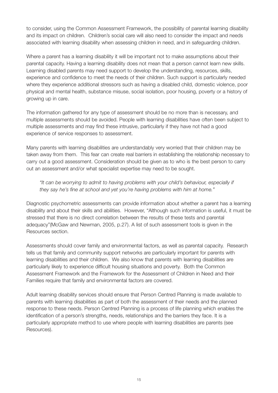to consider, using the Common Assessment Framework, the possibility of parental learning disability and its impact on children. Children's social care will also need to consider the impact and needs associated with learning disability when assessing children in need, and in safeguarding children.

Where a parent has a learning disability it will be important not to make assumptions about their parental capacity. Having a learning disability does not mean that a person cannot learn new skills. Learning disabled parents may need support to develop the understanding, resources, skills, experience and confidence to meet the needs of their children. Such support is particularly needed where they experience additional stressors such as having a disabled child, domestic violence, poor physical and mental health, substance misuse, social isolation, poor housing, poverty or a history of growing up in care.

The information gathered for any type of assessment should be no more than is necessary, and multiple assessments should be avoided. People with learning disabilities have often been subject to multiple assessments and may find these intrusive, particularly if they have not had a good experience of service responses to assessment.

Many parents with learning disabilities are understandably very worried that their children may be taken away from them. This fear can create real barriers in establishing the relationship necessary to carry out a good assessment. Consideration should be given as to who is the best person to carry out an assessment and/or what specialist expertise may need to be sought.

#### *"It can be worrying to admit to having problems with your child's behaviour, especially if they say he's fine at school and yet you're having problems with him at home."*

Diagnostic psychometric assessments can provide information about whether a parent has a learning disability and about their skills and abilities. However, "Although such information is useful, it must be stressed that there is no direct correlation between the results of these tests and parental adequacy"(McGaw and Newman, 2005, p.27). A list of such assessment tools is given in the Resources section.

Assessments should cover family and environmental factors, as well as parental capacity. Research tells us that family and community support networks are particularly important for parents with learning disabilities and their children. We also know that parents with learning disabilities are particularly likely to experience difficult housing situations and poverty. Both the Common Assessment Framework and the Framework for the Assessment of Children in Need and their Families require that family and environmental factors are covered.

Adult learning disability services should ensure that Person Centred Planning is made available to parents with learning disabilities as part of both the assessment of their needs and the planned response to these needs. Person Centred Planning is a process of life planning which enables the identification of a person's strengths, needs, relationships and the barriers they face. It is a particularly appropriate method to use where people with learning disabilities are parents (see Resources).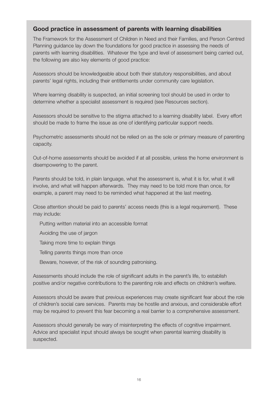### **Good practice in assessment of parents with learning disabilities**

The Framework for the Assessment of Children in Need and their Families, and Person Centred Planning guidance lay down the foundations for good practice in assessing the needs of parents with learning disabilities. Whatever the type and level of assessment being carried out, the following are also key elements of good practice:

Assessors should be knowledgeable about both their statutory responsibilities, and about parents' legal rights, including their entitlements under community care legislation.

Where learning disability is suspected, an initial screening tool should be used in order to determine whether a specialist assessment is required (see Resources section).

Assessors should be sensitive to the stigma attached to a learning disability label. Every effort should be made to frame the issue as one of identifying particular support needs.

Psychometric assessments should not be relied on as the sole or primary measure of parenting capacity.

Out-of-home assessments should be avoided if at all possible, unless the home environment is disempowering to the parent.

Parents should be told, in plain language, what the assessment is, what it is for, what it will involve, and what will happen afterwards. They may need to be told more than once, for example, a parent may need to be reminded what happened at the last meeting.

Close attention should be paid to parents' access needs (this is a legal requirement). These may include:

Putting written material into an accessible format

Avoiding the use of jargon

Taking more time to explain things

Telling parents things more than once

Beware, however, of the risk of sounding patronising.

Assessments should include the role of significant adults in the parent's life, to establish positive and/or negative contributions to the parenting role and effects on children's welfare.

Assessors should be aware that previous experiences may create significant fear about the role of children's social care services. Parents may be hostile and anxious, and considerable effort may be required to prevent this fear becoming a real barrier to a comprehensive assessment.

Assessors should generally be wary of misinterpreting the effects of cognitive impairment. Advice and specialist input should always be sought when parental learning disability is suspected.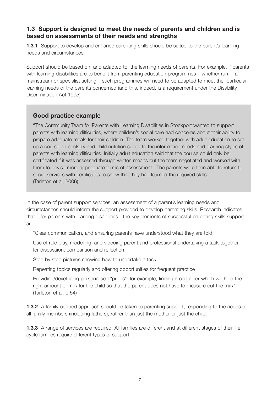### **1.3 Support is designed to meet the needs of parents and children and is based on assessments of their needs and strengths**

**1.3.1** Support to develop and enhance parenting skills should be suited to the parent's learning needs and circumstances.

Support should be based on, and adapted to, the learning needs of parents. For example, if parents with learning disabilities are to benefit from parenting education programmes – whether run in a mainstream or specialist setting – such programmes will need to be adapted to meet the particular learning needs of the parents concerned (and this, indeed, is a requirement under the Disability Discrimination Act 1995).

### **Good practice example**

"The Community Team for Parents with Learning Disabilities in Stockport wanted to support parents with learning difficulties, where children's social care had concerns about their ability to prepare adequate meals for their children. The team worked together with adult education to set up a course on cookery and child nutrition suited to the information needs and learning styles of parents with learning difficulties. Initially adult education said that the course could only be certificated if it was assessed through written means but the team negotiated and worked with them to devise more appropriate forms of assessment. The parents were then able to return to social services with certificates to show that they had learned the required skills". (Tarleton et al, 2006)

In the case of parent support services, an assessment of a parent's learning needs and circumstances should inform the support provided to develop parenting skills. Research indicates that – for parents with learning disabilities - the key elements of successful parenting skills support are:

"Clear communication, and ensuring parents have understood what they are told;

Use of role play, modelling, and videoing parent and professional undertaking a task together, for discussion, comparison and reflection

Step by step pictures showing how to undertake a task

Repeating topics regularly and offering opportunities for frequent practice

Providing/developing personalised "props": for example, finding a container which will hold the right amount of milk for the child so that the parent does not have to measure out the milk". (Tarleton et al, p.54)

**1.3.2** A family-centred approach should be taken to parenting support, responding to the needs of all family members (including fathers), rather than just the mother or just the child.

**1.3.3** A range of services are required. All families are different and at different stages of their life cycle families require different types of support.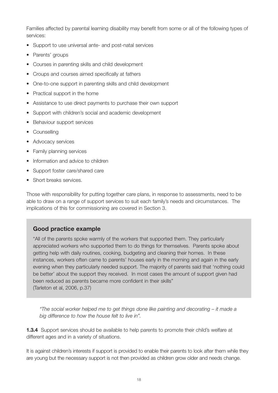Families affected by parental learning disability may benefit from some or all of the following types of services:

- Support to use universal ante- and post-natal services
- Parents' groups
- Courses in parenting skills and child development
- Croups and courses aimed specifically at fathers
- One-to-one support in parenting skills and child development
- Practical support in the home
- Assistance to use direct payments to purchase their own support
- Support with children's social and academic development
- Behaviour support services
- Counselling
- Advocacy services
- Family planning services
- Information and advice to children
- Support foster care/shared care
- Short breaks services.

Those with responsibility for putting together care plans, in response to assessments, need to be able to draw on a range of support services to suit each family's needs and circumstances. The implications of this for commissioning are covered in Section 3.

### **Good practice example**

"All of the parents spoke warmly of the workers that supported them. They particularly appreciated workers who supported them to do things for themselves. Parents spoke about getting help with daily routines, cooking, budgeting and cleaning their homes. In these instances, workers often came to parents' houses early in the morning and again in the early evening when they particularly needed support. The majority of parents said that 'nothing could be better' about the support they received. In most cases the amount of support given had been reduced as parents became more confident in their skills" (Tarleton et al, 2006, p.37)

*"The social worker helped me to get things done like painting and decorating – it made a big difference to how the house felt to live in".*

**1.3.4** Support services should be available to help parents to promote their child's welfare at different ages and in a variety of situations.

It is against children's interests if support is provided to enable their parents to look after them while they are young but the necessary support is not then provided as children grow older and needs change.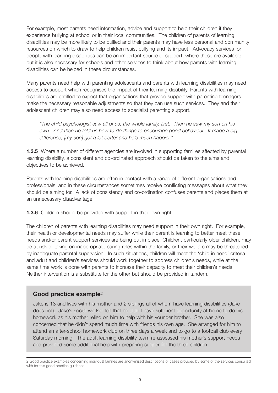For example, most parents need information, advice and support to help their children if they experience bullying at school or in their local communities. The children of parents of learning disabilities may be more likely to be bullied and their parents may have less personal and community resources on which to draw to help children resist bullying and its impact. Advocacy services for people with learning disabilities can be an important source of support, where these are available, but it is also necessary for schools and other services to think about how parents with learning disabilities can be helped in these circumstances.

Many parents need help with parenting adolescents and parents with learning disabilities may need access to support which recognises the impact of their learning disability. Parents with learning disabilities are entitled to expect that organisations that provide support with parenting teenagers make the necessary reasonable adjustments so that they can use such services. They and their adolescent children may also need access to specialist parenting support.

*"The child psychologist saw all of us, the whole family, first. Then he saw my son on his own. And then he told us how to do things to encourage good behaviour. It made a big difference, [my son] got a lot better and he's much happier."*

**1.3.5** Where a number of different agencies are involved in supporting families affected by parental learning disability, a consistent and co-ordinated approach should be taken to the aims and objectives to be achieved.

Parents with learning disabilities are often in contact with a range of different organisations and professionals, and in these circumstances sometimes receive conflicting messages about what they should be aiming for. A lack of consistency and co-ordination confuses parents and places them at an unnecessary disadvantage.

**1.3.6** Children should be provided with support in their own right.

The children of parents with learning disabilities may need support in their own right. For example, their health or developmental needs may suffer while their parent is learning to better meet these needs and/or parent support services are being put in place. Children, particularly older children, may be at risk of taking on inappropriate caring roles within the family, or their welfare may be threatened by inadequate parental supervision. In such situations, children will meet the 'child in need' criteria and adult and children's services should work together to address children's needs, while at the same time work is done with parents to increase their capacity to meet their children's needs. Neither intervention is a substitute for the other but should be provided in tandem.

### **Good practice example**<sup>2</sup>

Jake is 13 and lives with his mother and 2 siblings all of whom have learning disabilities (Jake does not). Jake's social worker felt that he didn't have sufficient opportunity at home to do his homework as his mother relied on him to help with his younger brother. She was also concerned that he didn't spend much time with friends his own age. She arranged for him to attend an after-school homework club on three days a week and to go to a football club every Saturday morning. The adult learning disability team re-assessed his mother's support needs and provided some additional help with preparing supper for the three children.

<sup>2</sup> Good practice examples concerning individual families are anonymised descriptions of cases provided by some of the services consulted with for this good practice guidance.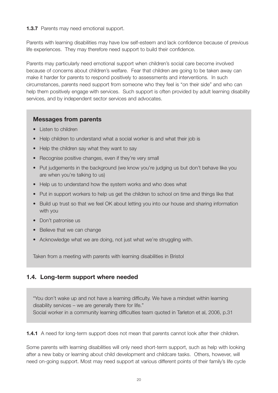#### **1.3.7** Parents may need emotional support.

Parents with learning disabilities may have low self-esteem and lack confidence because of previous life experiences. They may therefore need support to build their confidence.

Parents may particularly need emotional support when children's social care become involved because of concerns about children's welfare. Fear that children are going to be taken away can make it harder for parents to respond positively to assessments and interventions. In such circumstances, parents need support from someone who they feel is "on their side" and who can help them positively engage with services. Such support is often provided by adult learning disability services, and by independent sector services and advocates.

### **Messages from parents**

- Listen to children
- Help children to understand what a social worker is and what their job is
- Help the children say what they want to say
- Recognise positive changes, even if they're very small
- Put judgements in the background (we know you're judging us but don't behave like you are when you're talking to us)
- Help us to understand how the system works and who does what
- Put in support workers to help us get the children to school on time and things like that
- Build up trust so that we feel OK about letting you into our house and sharing information with you
- Don't patronise us
- Believe that we can change
- Acknowledge what we are doing, not just what we're struggling with.

Taken from a meeting with parents with learning disabilities in Bristol

# **1.4. Long-term support where needed**

"You don't wake up and not have a learning difficulty. We have a mindset within learning disability services – we are generally there for life." Social worker in a community learning difficulties team quoted in Tarleton et al, 2006, p.31

**1.4.1** A need for long-term support does not mean that parents cannot look after their children.

Some parents with learning disabilities will only need short-term support, such as help with looking after a new baby or learning about child development and childcare tasks. Others, however, will need on-going support. Most may need support at various different points of their family's life cycle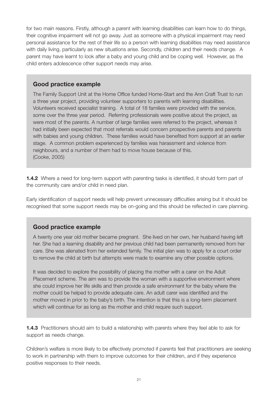for two main reasons. Firstly, although a parent with learning disabilities can learn how to do things, their cognitive impairment will not go away. Just as someone with a physical impairment may need personal assistance for the rest of their life so a person with learning disabilities may need assistance with daily living, particularly as new situations arise. Secondly, children and their needs change. A parent may have learnt to look after a baby and young child and be coping well. However, as the child enters adolescence other support needs may arise.

#### **Good practice example**

The Family Support Unit at the Home Office funded Home-Start and the Ann Craft Trust to run a three year project, providing volunteer supporters to parents with learning disabilities. Volunteers received specialist training. A total of 18 families were provided with the service, some over the three year period. Referring professionals were positive about the project, as were most of the parents. A number of large families were referred to the project, whereas it had initially been expected that most referrals would concern prospective parents and parents with babies and young children. These families would have benefited from support at an earlier stage. A common problem experienced by families was harassment and violence from neighbours, and a number of them had to move house because of this. (Cooke, 2005)

**1.4.2** Where a need for long-term support with parenting tasks is identified, it should form part of the community care and/or child in need plan.

Early identification of support needs will help prevent unnecessary difficulties arising but it should be recognised that some support needs may be on-going and this should be reflected in care planning.

### **Good practice example**

A twenty one year old mother became pregnant. She lived on her own, her husband having left her. She had a learning disability and her previous child had been permanently removed from her care. She was alienated from her extended family. The initial plan was to apply for a court order to remove the child at birth but attempts were made to examine any other possible options.

It was decided to explore the possibility of placing the mother with a carer on the Adult Placement scheme. The aim was to provide the woman with a supportive environment where she could improve her life skills and then provide a safe environment for the baby where the mother could be helped to provide adequate care. An adult carer was identified and the mother moved in prior to the baby's birth. The intention is that this is a long-term placement which will continue for as long as the mother and child require such support.

**1.4.3** Practitioners should aim to build a relationship with parents where they feel able to ask for support as needs change.

Children's welfare is more likely to be effectively promoted if parents feel that practitioners are seeking to work in partnership with them to improve outcomes for their children, and if they experience positive responses to their needs.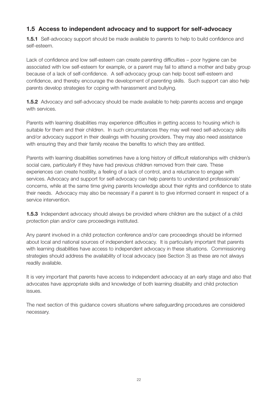# **1.5 Access to independent advocacy and to support for self-advocacy**

**1.5.1** Self-advocacy support should be made available to parents to help to build confidence and self-esteem.

Lack of confidence and low self-esteem can create parenting difficulties – poor hygiene can be associated with low self-esteem for example, or a parent may fail to attend a mother and baby group because of a lack of self-confidence. A self-advocacy group can help boost self-esteem and confidence, and thereby encourage the development of parenting skills. Such support can also help parents develop strategies for coping with harassment and bullying.

**1.5.2** Advocacy and self-advocacy should be made available to help parents access and engage with services.

Parents with learning disabilities may experience difficulties in getting access to housing which is suitable for them and their children. In such circumstances they may well need self-advocacy skills and/or advocacy support in their dealings with housing providers. They may also need assistance with ensuring they and their family receive the benefits to which they are entitled.

Parents with learning disabilities sometimes have a long history of difficult relationships with children's social care, particularly if they have had previous children removed from their care. These experiences can create hostility, a feeling of a lack of control, and a reluctance to engage with services. Advocacy and support for self-advocacy can help parents to understand professionals' concerns, while at the same time giving parents knowledge about their rights and confidence to state their needs. Advocacy may also be necessary if a parent is to give informed consent in respect of a service intervention.

**1.5.3** Independent advocacy should always be provided where children are the subject of a child protection plan and/or care proceedings instituted.

Any parent involved in a child protection conference and/or care proceedings should be informed about local and national sources of independent advocacy. It is particularly important that parents with learning disabilities have access to independent advocacy in these situations. Commissioning strategies should address the availability of local advocacy (see Section 3) as these are not always readily available.

It is very important that parents have access to independent advocacy at an early stage and also that advocates have appropriate skills and knowledge of both learning disability and child protection issues.

The next section of this guidance covers situations where safeguarding procedures are considered necessary.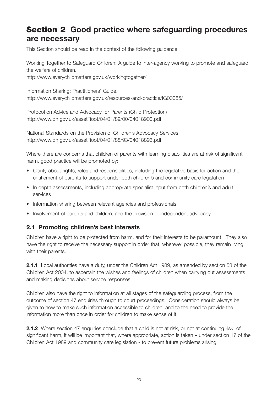# **Section 2 Good practice where safeguarding procedures are necessary**

This Section should be read in the context of the following guidance:

Working Together to Safeguard Children: A guide to inter-agency working to promote and safeguard the welfare of children.

http://www.everychildmatters.gov.uk/workingtogether/

Information Sharing: Practitioners' Guide. http://www.everychildmatters.gov.uk/resources-and-practice/IG00065/

Protocol on Advice and Advocacy for Parents (Child Protection) http://www.dh.gov.uk/assetRoot/04/01/89/00/04018900.pdf

National Standards on the Provision of Children's Advocacy Services. http://www.dh.gov.uk/assetRoot/04/01/88/93/04018893.pdf

Where there are concerns that children of parents with learning disabilities are at risk of significant harm, good practice will be promoted by:

- Clarity about rights, roles and responsibilities, including the legislative basis for action and the entitlement of parents to support under both children's and community care legislation
- In depth assessments, including appropriate specialist input from both children's and adult services
- Information sharing between relevant agencies and professionals
- Involvement of parents and children, and the provision of independent advocacy.

# **2.1 Promoting children's best interests**

Children have a right to be protected from harm, and for their interests to be paramount. They also have the right to receive the necessary support in order that, wherever possible, they remain living with their parents.

**2.1.1** Local authorities have a duty, under the Children Act 1989, as amended by section 53 of the Children Act 2004, to ascertain the wishes and feelings of children when carrying out assessments and making decisions about service responses.

Children also have the right to information at all stages of the safeguarding process, from the outcome of section 47 enquiries through to court proceedings. Consideration should always be given to how to make such information accessible to children, and to the need to provide the information more than once in order for children to make sense of it.

**2.1.2** Where section 47 enquiries conclude that a child is not at risk, or not at continuing risk, of significant harm, it will be important that, where appropriate, action is taken – under section 17 of the Children Act 1989 and community care legislation - to prevent future problems arising.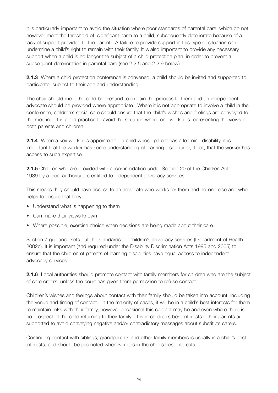It is particularly important to avoid the situation where poor standards of parental care, which do not however meet the threshold of significant harm to a child, subsequently deteriorate because of a lack of support provided to the parent. A failure to provide support in this type of situation can undermine a child's right to remain with their family. It is also important to provide any necessary support when a child is no longer the subject of a child protection plan, in order to prevent a subsequent deterioration in parental care (see 2.2.5 and 2.2.9 below).

**2.1.3** Where a child protection conference is convened, a child should be invited and supported to participate, subject to their age and understanding.

The chair should meet the child beforehand to explain the process to them and an independent advocate should be provided where appropriate. Where it is not appropriate to involve a child in the conference, children's social care should ensure that the child's wishes and feelings are conveyed to the meeting. It is good practice to avoid the situation where one worker is representing the views of both parents and children.

**2.1.4** When a key worker is appointed for a child whose parent has a learning disability, it is important that the worker has some understanding of learning disability or, if not, that the worker has access to such expertise.

**2.1.5** Children who are provided with accommodation under Section 20 of the Children Act 1989 by a local authority are entitled to independent advocacy services.

This means they should have access to an advocate who works for them and no-one else and who helps to ensure that they:

- Understand what is happening to them
- Can make their views known
- Where possible, exercise choice when decisions are being made about their care.

Section 7 guidance sets out the standards for children's advocacy services (Department of Health 2002c). It is important (and required under the Disability Discrimination Acts 1995 and 2005) to ensure that the children of parents of learning disabilities have equal access to independent advocacy services.

**2.1.6** Local authorities should promote contact with family members for children who are the subject of care orders, unless the court has given them permission to refuse contact.

Children's wishes and feelings about contact with their family should be taken into account, including the venue and timing of contact. In the majority of cases, it will be in a child's best interests for them to maintain links with their family, however occasional this contact may be and even where there is no prospect of the child returning to their family. It is in children's best interests if their parents are supported to avoid conveying negative and/or contradictory messages about substitute carers.

Continuing contact with siblings, grandparents and other family members is usually in a child's best interests, and should be promoted whenever it is in the child's best interests.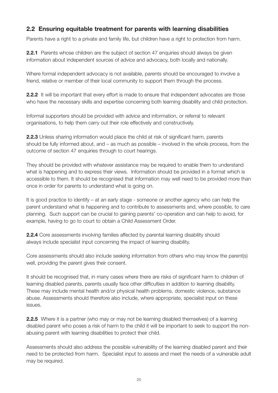# **2.2 Ensuring equitable treatment for parents with learning disabilities**

Parents have a right to a private and family life, but children have a right to protection from harm.

**2.2.1** Parents whose children are the subject of section 47 enquiries should always be given information about independent sources of advice and advocacy, both locally and nationally.

Where formal independent advocacy is not available, parents should be encouraged to involve a friend, relative or member of their local community to support them through the process.

**2.2.2** It will be important that every effort is made to ensure that independent advocates are those who have the necessary skills and expertise concerning both learning disability and child protection.

Informal supporters should be provided with advice and information, or referral to relevant organisations, to help them carry out their role effectively and constructively.

**2.2.3** Unless sharing information would place the child at risk of significant harm, parents should be fully informed about, and – as much as possible – involved in the whole process, from the outcome of section 47 enquiries through to court hearings.

They should be provided with whatever assistance may be required to enable them to understand what is happening and to express their views. Information should be provided in a format which is accessible to them. It should be recognised that information may well need to be provided more than once in order for parents to understand what is going on.

It is good practice to identify – at an early stage - someone or another agency who can help the parent understand what is happening and to contribute to assessments and, where possible, to care planning. Such support can be crucial to gaining parents' co-operation and can help to avoid, for example, having to go to court to obtain a Child Assessment Order.

**2.2.4** Core assessments involving families affected by parental learning disability should always include specialist input concerning the impact of learning disability.

Core assessments should also include seeking information from others who may know the parent(s) well, providing the parent gives their consent.

It should be recognised that, in many cases where there are risks of significant harm to children of learning disabled parents, parents usually face other difficulties in addition to learning disability. These may include mental health and/or physical health problems, domestic violence, substance abuse. Assessments should therefore also include, where appropriate, specialist input on these issues.

**2.2.5** Where it is a partner (who may or may not be learning disabled themselves) of a learning disabled parent who poses a risk of harm to the child it will be important to seek to support the nonabusing parent with learning disabilities to protect their child.

Assessments should also address the possible vulnerability of the learning disabled parent and their need to be protected from harm. Specialist input to assess and meet the needs of a vulnerable adult may be required.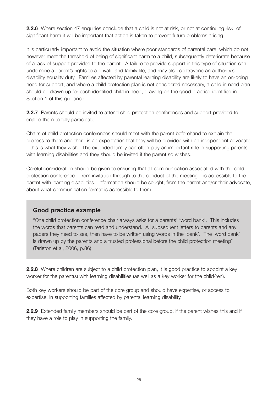**2.2.6** Where section 47 enquiries conclude that a child is not at risk, or not at continuing risk, of significant harm it will be important that action is taken to prevent future problems arising.

It is particularly important to avoid the situation where poor standards of parental care, which do not however meet the threshold of being of significant harm to a child, subsequently deteriorate because of a lack of support provided to the parent. A failure to provide support in this type of situation can undermine a parent's rights to a private and family life, and may also contravene an authority's disability equality duty. Families affected by parental learning disability are likely to have an on-going need for support, and where a child protection plan is not considered necessary, a child in need plan should be drawn up for each identified child in need, drawing on the good practice identified in Section 1 of this guidance.

**2.2.7** Parents should be invited to attend child protection conferences and support provided to enable them to fully participate.

Chairs of child protection conferences should meet with the parent beforehand to explain the process to them and there is an expectation that they will be provided with an independent advocate if this is what they wish. The extended family can often play an important role in supporting parents with learning disabilities and they should be invited if the parent so wishes.

Careful consideration should be given to ensuring that all communication associated with the child protection conference – from invitation through to the conduct of the meeting – is accessible to the parent with learning disabilities. Information should be sought, from the parent and/or their advocate, about what communication format is accessible to them.

### **Good practice example**

"One child protection conference chair always asks for a parents' 'word bank'. This includes the words that parents can read and understand. All subsequent letters to parents and any papers they need to see, then have to be written using words in the 'bank'. The 'word bank' is drawn up by the parents and a trusted professional before the child protection meeting" (Tarleton et al, 2006, p.86)

**2.2.8** Where children are subject to a child protection plan, it is good practice to appoint a key worker for the parent(s) with learning disabilities (as well as a key worker for the child/ren).

Both key workers should be part of the core group and should have expertise, or access to expertise, in supporting families affected by parental learning disability.

**2.2.9** Extended family members should be part of the core group, if the parent wishes this and if they have a role to play in supporting the family.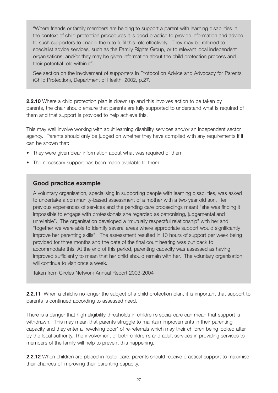"Where friends or family members are helping to support a parent with learning disabilities in the context of child protection procedures it is good practice to provide information and advice to such supporters to enable them to fulfil this role effectively. They may be referred to specialist advice services, such as the Family Rights Group, or to relevant local independent organisations; and/or they may be given information about the child protection process and their potential role within it".

See section on the involvement of supporters in Protocol on Advice and Advocacy for Parents (Child Protection), Department of Health, 2002, p.27.

**2.2.10** Where a child protection plan is drawn up and this involves action to be taken by parents, the chair should ensure that parents are fully supported to understand what is required of them and that support is provided to help achieve this.

This may well involve working with adult learning disability services and/or an independent sector agency. Parents should only be judged on whether they have complied with any requirements if it can be shown that:

- They were given clear information about what was required of them
- The necessary support has been made available to them.

### **Good practice example**

A voluntary organisation, specialising in supporting people with learning disabilities, was asked to undertake a community-based assessment of a mother with a two year old son. Her previous experiences of services and the pending care proceedings meant "she was finding it impossible to engage with professionals she regarded as patronising, judgemental and unreliable". The organisation developed a "mutually respectful relationship" with her and "together we were able to identify several areas where appropriate support would significantly improve her parenting skills". The assessment resulted in 10 hours of support per week being provided for three months and the date of the final court hearing was put back to accommodate this. At the end of this period, parenting capacity was assessed as having improved sufficiently to mean that her child should remain with her. The voluntary organisation will continue to visit once a week.

Taken from Circles Network Annual Report 2003-2004

**2.2.11** When a child is no longer the subject of a child protection plan, it is important that support to parents is continued according to assessed need.

There is a danger that high eligibility thresholds in children's social care can mean that support is withdrawn. This may mean that parents struggle to maintain improvements in their parenting capacity and they enter a 'revolving door' of re-referrals which may their children being looked after by the local authority. The involvement of both children's and adult services in providing services to members of the family will help to prevent this happening.

**2.2.12** When children are placed in foster care, parents should receive practical support to maximise their chances of improving their parenting capacity.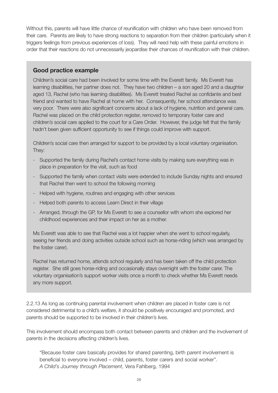Without this, parents will have little chance of reunification with children who have been removed from their care. Parents are likely to have strong reactions to separation from their children (particularly when it triggers feelings from previous experiences of loss). They will need help with these painful emotions in order that their reactions do not unnecessarily jeopardise their chances of reunification with their children.

### **Good practice example**

Children's social care had been involved for some time with the Everett family. Ms Everett has learning disabilities, her partner does not. They have two children – a son aged 20 and a daughter aged 13, Rachel (who has learning disabilities). Ms Everett treated Rachel as confidante and best friend and wanted to have Rachel at home with her. Consequently, her school attendance was very poor. There were also significant concerns about a lack of hygiene, nutrition and general care. Rachel was placed on the child protection register, removed to temporary foster care and children's social care applied to the court for a Care Order. However, the judge felt that the family hadn't been given sufficient opportunity to see if things could improve with support.

Children's social care then arranged for support to be provided by a local voluntary organisation. They:

- Supported the family during Rachel's contact home visits by making sure everything was in place in preparation for the visit, such as food
- Supported the family when contact visits were extended to include Sunday nights and ensured that Rachel then went to school the following morning
- Helped with hygiene, routines and engaging with other services
- Helped both parents to access Learn Direct in their village
- Arranged, through the GP, for Ms Everett to see a counsellor with whom she explored her childhood experiences and their impact on her as a mother.

Ms Everett was able to see that Rachel was a lot happier when she went to school regularly, seeing her friends and doing activities outside school such as horse-riding (which was arranged by the foster carer).

Rachel has returned home, attends school regularly and has been taken off the child protection register. She still goes horse-riding and occasionally stays overnight with the foster carer. The voluntary organisation's support worker visits once a month to check whether Ms Everett needs any more support.

2.2.13 As long as continuing parental involvement when children are placed in foster care is not considered detrimental to a child's welfare, it should be positively encouraged and promoted, and parents should be supported to be involved in their children's lives.

This involvement should encompass both contact between parents and children and the involvement of parents in the decisions affecting children's lives.

"Because foster care basically provides for shared parenting, birth parent involvement is beneficial to everyone involved – child, parents, foster carers and social worker". *A Child's Journey through Placement*, Vera Fahlberg, 1994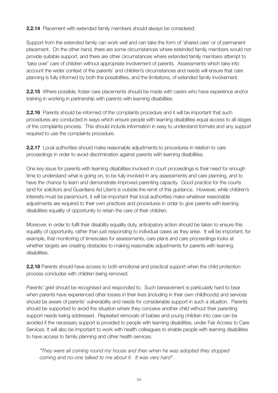**2.2.14** Placement with extended family members should always be considered.

Support from the extended family can work well and can take the form of 'shared care' or of permanent placement. On the other hand, there are some circumstances where extended family members would not provide suitable support, and there are other circumstances where extended family members attempt to 'take over' care of children without appropriate involvement of parents. Assessments which take into account the wider context of the parents' and children's circumstances and needs will ensure that care planning is fully informed by both the possibilities, and the limitations, of extended family involvement.

**2.2.15** Where possible, foster care placements should be made with carers who have experience and/or training in working in partnership with parents with learning disabilities.

**2.2.16** Parents should be informed of the complaints procedure and it will be important that such procedures are conducted in ways which ensure people with learning disabilities equal access to all stages of the complaints process. This should include information in easy to understand formats and any support required to use the complaints procedure.

**2.2.17** Local authorities should make reasonable adjustments to procedures in relation to care proceedings in order to avoid discrimination against parents with learning disabilities.

One key issue for parents with learning disabilities involved in court proceedings is their need for enough time to understand what is going on, to be fully involved in any assessments and care planning, and to have the chance to learn and demonstrate improved parenting capacity. Good practice for the courts (and for solicitors and Guardians Ad Litem) is outside the remit of this guidance. However, while children's interests must be paramount, it will be important that local authorities make whatever reasonable adjustments are required to their own practices and procedures in order to give parents with learning disabilities equality of opportunity to retain the care of their children.

Moreover, in order to fulfil their disability equality duty, anticipatory action should be taken to ensure this equality of opportunity, rather than just responding to individual cases as they arise. It will be important, for example, that monitoring of timescales for assessments, care plans and care proceedings looks at whether targets are creating obstacles to making reasonable adjustments for parents with learning disabilities.

**2.2.18** Parents should have access to both emotional and practical support when the child protection process concludes with children being removed.

Parents' grief should be recognised and responded to. Such bereavement is particularly hard to bear when parents have experienced other losses in their lives (including in their own childhoods) and services should be aware of parents' vulnerability and needs for considerable support in such a situation. Parents should be supported to avoid the situation where they conceive another child without their parenting support needs being addressed. Repeated removals of babies and young children into care can be avoided if the necessary support is provided to people with learning disabilities, under Fair Access to Care Services. It will also be important to work with health colleagues to enable people with learning disabilities to have access to family planning and other health services.

*"They were all coming round my house and then when he was adopted they stopped coming and no-one talked to me about it. It was very hard".*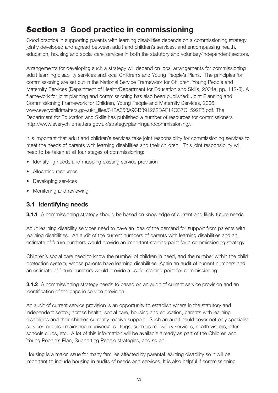# **Section 3 Good practice in commissioning**

Good practice in supporting parents with learning disabilities depends on a commissioning strategy jointly developed and agreed between adult and children's services, and encompassing health, education, housing and social care services in both the statutory and voluntary/independent sectors.

Arrangements for developing such a strategy will depend on local arrangements for commissioning adult learning disability services and local Children's and Young People's Plans. The principles for commissioning are set out in the National Service Framework for Children, Young People and Maternity Services (Department of Health/Department for Education and Skills, 2004a, pp. 112-3). A framework for joint planning and commissioning has also been published: Joint Planning and Commissioning Framework for Children, Young People and Maternity Services, 2006, www.everychildmatters.gov.uk/\_files/312A353A9CB391262BAF14CC7C1592F8.pdf. The Department for Education and Skills has published a number of resources for commissioners http://www.everychildmatters.gov.uk/strategy/planningandcommissioning/.

It is important that adult and children's services take joint responsibility for commissioning services to meet the needs of parents with learning disabilities and their children. This joint responsibility will need to be taken at all four stages of commissioning:

- Identifying needs and mapping existing service provision
- Allocating resources
- Developing services
- Monitoring and reviewing.

# **3.1 Identifying needs**

**3.1.1** A commissioning strategy should be based on knowledge of current and likely future needs.

Adult learning disability services need to have an idea of the demand for support from parents with learning disabilities. An audit of the current numbers of parents with learning disabilities and an estimate of future numbers would provide an important starting point for a commissioning strategy.

Children's social care need to know the number of children in need, and the number within the child protection system, whose parents have learning disabilities. Again an audit of current numbers and an estimate of future numbers would provide a useful starting point for commissioning.

**3.1.2** A commissioning strategy needs to based on an audit of current service provision and an identification of the gaps in service provision.

An audit of current service provision is an opportunity to establish where in the statutory and independent sector, across health, social care, housing and education, parents with learning disabilities and their children currently receive support. Such an audit could cover not only specialist services but also mainstream universal settings, such as midwifery services, health visitors, after schools clubs, etc. A lot of this information will be available already as part of the Children and Young People's Plan, Supporting People strategies, and so on.

Housing is a major issue for many families affected by parental learning disability so it will be important to include housing in audits of needs and services. It is also helpful if commissioning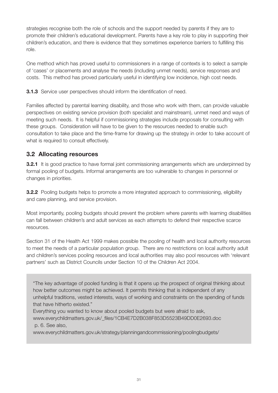strategies recognise both the role of schools and the support needed by parents if they are to promote their children's educational development. Parents have a key role to play in supporting their children's education, and there is evidence that they sometimes experience barriers to fulfilling this role.

One method which has proved useful to commissioners in a range of contexts is to select a sample of 'cases' or placements and analyse the needs (including unmet needs), service responses and costs. This method has proved particularly useful in identifying low incidence, high cost needs.

**3.1.3** Service user perspectives should inform the identification of need.

Families affected by parental learning disability, and those who work with them, can provide valuable perspectives on existing service provision (both specialist and mainstream), unmet need and ways of meeting such needs. It is helpful if commissioning strategies include proposals for consulting with these groups. Consideration will have to be given to the resources needed to enable such consultation to take place and the time-frame for drawing up the strategy in order to take account of what is required to consult effectively.

# **3.2 Allocating resources**

**3.2.1** It is good practice to have formal joint commissioning arrangements which are underpinned by formal pooling of budgets. Informal arrangements are too vulnerable to changes in personnel or changes in priorities.

**3.2.2** Pooling budgets helps to promote a more integrated approach to commissioning, eligibility and care planning, and service provision.

Most importantly, pooling budgets should prevent the problem where parents with learning disabilities can fall between children's and adult services as each attempts to defend their respective scarce resources.

Section 31 of the Health Act 1999 makes possible the pooling of health and local authority resources to meet the needs of a particular population group. There are no restrictions on local authority adult and children's services pooling resources and local authorities may also pool resources with 'relevant partners' such as District Councils under Section 10 of the Children Act 2004.

"The key advantage of pooled funding is that it opens up the prospect of original thinking about how better outcomes might be achieved. It permits thinking that is independent of any unhelpful traditions, vested interests, ways of working and constraints on the spending of funds that have hitherto existed."

Everything you wanted to know about pooled budgets but were afraid to ask,

www.everychildmatters.gov.uk/\_files/1CB4E7D2B038F853D5523B49DD0E2693.doc p. 6. See also,

www.everychildmatters.gov.uk/strategy/planningandcommissioning/poolingbudgets/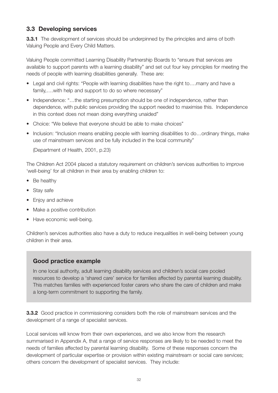# **3.3 Developing services**

**3.3.1** The development of services should be underpinned by the principles and aims of both Valuing People and Every Child Matters.

Valuing People committed Learning Disability Partnership Boards to "ensure that services are available to support parents with a learning disability" and set out four key principles for meeting the needs of people with learning disabilities generally. These are:

- Legal and civil rights: "People with learning disabilities have the right to....marry and have a family,….with help and support to do so where necessary"
- Independence: "...the starting presumption should be one of independence, rather than dependence, with public services providing the support needed to maximise this. Independence in this context does not mean doing everything unaided"
- Choice: "We believe that everyone should be able to make choices"
- Inclusion: "Inclusion means enabling people with learning disabilities to do...ordinary things, make use of mainstream services and be fully included in the local community"

(Department of Health, 2001, p.23)

The Children Act 2004 placed a statutory requirement on children's services authorities to improve 'well-being' for all children in their area by enabling children to:

- Be healthy
- Stay safe
- Enjoy and achieve
- Make a positive contribution
- Have economic well-being.

Children's services authorities also have a duty to reduce inequalities in well-being between young children in their area.

### **Good practice example**

In one local authority, adult learning disability services and children's social care pooled resources to develop a 'shared care' service for families affected by parental learning disability. This matches families with experienced foster carers who share the care of children and make a long-term commitment to supporting the family.

**3.3.2** Good practice in commissioning considers both the role of mainstream services and the development of a range of specialist services.

Local services will know from their own experiences, and we also know from the research summarised in Appendix A, that a range of service responses are likely to be needed to meet the needs of families affected by parental learning disability. Some of these responses concern the development of particular expertise or provision within existing mainstream or social care services; others concern the development of specialist services. They include: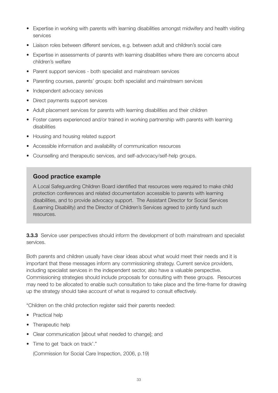- Expertise in working with parents with learning disabilities amongst midwifery and health visiting services
- Liaison roles between different services, e.g. between adult and children's social care
- Expertise in assessments of parents with learning disabilities where there are concerns about children's welfare
- Parent support services both specialist and mainstream services
- Parenting courses, parents' groups: both specialist and mainstream services
- Independent advocacy services
- Direct payments support services
- Adult placement services for parents with learning disabilities and their children
- Foster carers experienced and/or trained in working partnership with parents with learning disabilities
- Housing and housing related support
- Accessible information and availability of communication resources
- Counselling and therapeutic services, and self-advocacy/self-help groups.

A Local Safeguarding Children Board identified that resources were required to make child protection conferences and related documentation accessible to parents with learning disabilities, and to provide advocacy support. The Assistant Director for Social Services (Learning Disability) and the Director of Children's Services agreed to jointly fund such resources.

**3.3.3** Service user perspectives should inform the development of both mainstream and specialist services.

Both parents and children usually have clear ideas about what would meet their needs and it is important that these messages inform any commissioning strategy. Current service providers, including specialist services in the independent sector, also have a valuable perspective. Commissioning strategies should include proposals for consulting with these groups. Resources may need to be allocated to enable such consultation to take place and the time-frame for drawing up the strategy should take account of what is required to consult effectively.

"Children on the child protection register said their parents needed:

- Practical help
- Therapeutic help
- Clear communication [about what needed to change]; and
- Time to get 'back on track'."

(Commission for Social Care Inspection, 2006, p.19)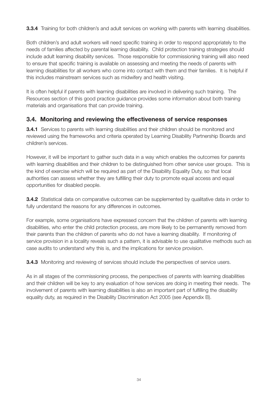**3.3.4** Training for both children's and adult services on working with parents with learning disabilities.

Both children's and adult workers will need specific training in order to respond appropriately to the needs of families affected by parental learning disability. Child protection training strategies should include adult learning disability services. Those responsible for commissioning training will also need to ensure that specific training is available on assessing and meeting the needs of parents with learning disabilities for all workers who come into contact with them and their families. It is helpful if this includes mainstream services such as midwifery and health visiting.

It is often helpful if parents with learning disabilities are involved in delivering such training. The Resources section of this good practice guidance provides some information about both training materials and organisations that can provide training.

# **3.4. Monitoring and reviewing the effectiveness of service responses**

**3.4.1** Services to parents with learning disabilities and their children should be monitored and reviewed using the frameworks and criteria operated by Learning Disability Partnership Boards and children's services.

However, it will be important to gather such data in a way which enables the outcomes for parents with learning disabilities and their children to be distinguished from other service user groups. This is the kind of exercise which will be required as part of the Disability Equality Duty, so that local authorities can assess whether they are fulfilling their duty to promote equal access and equal opportunities for disabled people.

**3.4.2** Statistical data on comparative outcomes can be supplemented by qualitative data in order to fully understand the reasons for any differences in outcomes.

For example, some organisations have expressed concern that the children of parents with learning disabilities, who enter the child protection process, are more likely to be permanently removed from their parents than the children of parents who do not have a learning disability. If monitoring of service provision in a locality reveals such a pattern, it is advisable to use qualitative methods such as case audits to understand why this is, and the implications for service provision.

**3.4.3** Monitoring and reviewing of services should include the perspectives of service users.

As in all stages of the commissioning process, the perspectives of parents with learning disabilities and their children will be key to any evaluation of how services are doing in meeting their needs. The involvement of parents with learning disabilities is also an important part of fulfilling the disability equality duty, as required in the Disability Discrimination Act 2005 (see Appendix B).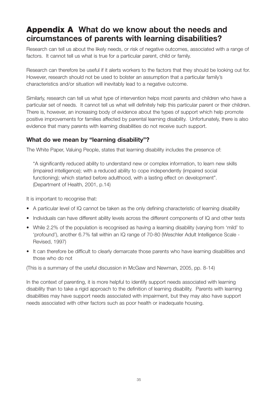# **Appendix A What do we know about the needs and circumstances of parents with learning disabilities?**

Research can tell us about the likely needs, or risk of negative outcomes, associated with a range of factors. It cannot tell us what is true for a particular parent, child or family.

Research can therefore be useful if it alerts workers to the factors that they should be looking out for. However, research should not be used to bolster an assumption that a particular family's characteristics and/or situation will inevitably lead to a negative outcome.

Similarly, research can tell us what type of intervention helps most parents and children who have a particular set of needs. It cannot tell us what will definitely help this particular parent or their children. There is, however, an increasing body of evidence about the types of support which help promote positive improvements for families affected by parental learning disability. Unfortunately, there is also evidence that many parents with learning disabilities do not receive such support.

### **What do we mean by "learning disability"?**

The White Paper, Valuing People, states that learning disability includes the presence of:

"A significantly reduced ability to understand new or complex information, to learn new skills (impaired intelligence); with a reduced ability to cope independently (impaired social functioning); which started before adulthood, with a lasting effect on development". (Department of Health, 2001, p.14)

It is important to recognise that:

- A particular level of IQ cannot be taken as the only defining characteristic of learning disability
- Individuals can have different ability levels across the different components of IQ and other tests
- While 2.2% of the population is recognised as having a learning disability (varying from 'mild' to 'profound'), another 6.7% fall within an IQ range of 70-80 (Weschler Adult Intelligence Scale - Revised, 1997)
- It can therefore be difficult to clearly demarcate those parents who have learning disabilities and those who do not

(This is a summary of the useful discussion in McGaw and Newman, 2005, pp. 8-14)

In the context of parenting, it is more helpful to identify support needs associated with learning disability than to take a rigid approach to the definition of learning disability. Parents with learning disabilities may have support needs associated with impairment, but they may also have support needs associated with other factors such as poor health or inadequate housing.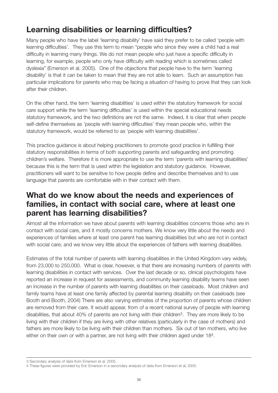# **Learning disabilities or learning difficulties?**

Many people who have the label 'learning disability' have said they prefer to be called 'people with learning difficulties'. They use this term to mean "people who since they were a child had a real difficulty in learning many things. We do not mean people who just have a specific difficulty in learning, for example, people who only have difficulty with reading which is sometimes called dyslexia" (Emerson et al, 2005). One of the objections that people have to the term 'learning disability' is that it can be taken to mean that they are not able to learn. Such an assumption has particular implications for parents who may be facing a situation of having to prove that they can look after their children.

On the other hand, the term 'learning disabilities' is used within the statutory framework for social care support while the term 'learning difficulties' is used within the special educational needs statutory framework, and the two definitions are not the same. Indeed, it is clear that when people self-define themselves as 'people with learning difficulties' they mean people who, within the statutory framework, would be referred to as 'people with learning disabilities'.

This practice guidance is about helping practitioners to promote good practice in fulfilling their statutory responsibilities in terms of both supporting parents and safeguarding and promoting children's welfare. Therefore it is more appropriate to use the term 'parents with learning disabilities' because this is the term that is used within the legislation and statutory guidance. However, practitioners will want to be sensitive to how people define and describe themselves and to use language that parents are comfortable with in their contact with them.

# **What do we know about the needs and experiences of families, in contact with social care, where at least one parent has learning disabilities?**

Almost all the information we have about parents with learning disabilities concerns those who are in contact with social care, and it mostly concerns mothers. We know very little about the needs and experiences of families where at least one parent has learning disabilities but who are not in contact with social care; and we know very little about the experiences of fathers with learning disabilities.

Estimates of the total number of parents with learning disabilities in the United Kingdom vary widely, from 23,000 to 250,000. What is clear, however, is that there are increasing numbers of parents with learning disabilities in contact with services. Over the last decade or so, clinical psychologists have reported an increase in request for assessments, and community learning disability teams have seen an increase in the number of parents with learning disabilities on their caseloads. Most children and family teams have at least one family affected by parental learning disability on their caseloads (see Booth and Booth, 2004) There are also varying estimates of the proportion of parents whose children are removed from their care. It would appear, from of a recent national survey of people with learning disabilities, that about 40% of parents are not living with their children<sup>3</sup>. They are more likely to be living with their children if they are living with other relatives (particularly in the case of mothers) and fathers are more likely to be living with their children than mothers. Six out of ten mothers, who live either on their own or with a partner, are not living with their children aged under 184.

<sup>3</sup> Secondary analysis of data from Emerson et al, 2005.

<sup>4</sup> These figures were provided by Eric Emerson in a secondary analysis of data from Emerson et al, 2005.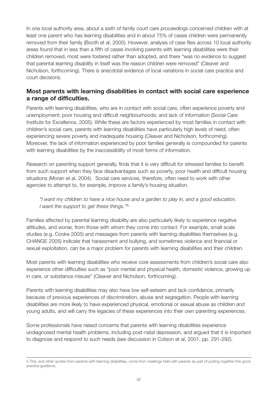In one local authority area, about a sixth of family court care proceedings concerned children with at least one parent who has learning disabilities and in about 75% of cases children were permanently removed from their family (Booth et al, 2005). However, analysis of case files across 10 local authority areas found that in less than a fifth of cases involving parents with learning disabilities were their children removed, most were fostered rather than adopted, and there "was no evidence to suggest that parental learning disability in itself was the reason children were removed" (Cleaver and Nicholson, forthcoming). There is anecdotal evidence of local variations in social care practice and court decisions.

# **Most parents with learning disabilities in contact with social care experience a range of difficulties.**

Parents with learning disabilities, who are in contact with social care, often experience poverty and unemployment; poor housing and difficult neighbourhoods; and lack of information (Social Care Institute for Excellence, 2005). While these are factors experienced by most families in contact with children's social care, parents with learning disabilities have particularly high levels of need, often experiencing severe poverty and inadequate housing (Cleaver and Nicholson, forthcoming). Moreover, the lack of information experienced by poor families generally is compounded for parents with learning disabilities by the inaccessibility of most forms of information.

Research on parenting support generally, finds that it is very difficult for stressed families to benefit from such support when they face disadvantages such as poverty, poor health and difficult housing situations (Moran et al, 2004). Social care services, therefore, often need to work with other agencies to attempt to, for example, improve a family's housing situation.

#### *"I want my children to have a nice house and a garden to play in, and a good education. I want the support to get these things."*5

Families affected by parental learning disability are also particularly likely to experience negative attitudes, and worse, from those with whom they come into contact. For example, small scale studies (e.g. Cooke 2005) and messages from parents with learning disabilities themselves (e.g. CHANGE 2005) indicate that harassment and bullying, and sometimes violence and financial or sexual exploitation, can be a major problem for parents with learning disabilities and their children.

Most parents with learning disabilities who receive core assessments from children's social care also experience other difficulties such as "poor mental and physical health, domestic violence, growing up in care, or substance misuse" (Cleaver and Nicholson, forthcoming).

Parents with learning disabilities may also have low self-esteem and lack confidence, primarily because of previous experiences of discrimination, abuse and segregation. People with learning disabilities are more likely to have experienced physical, emotional or sexual abuse as children and young adults, and will carry the legacies of these experiences into their own parenting experiences.

Some professionals have raised concerns that parents with learning disabilities experience undiagnosed mental health problems, including post-natal depression, and argued that it is important to diagnose and respond to such needs (see discussion in Cotson et al, 2001, pp. 291-292).

<sup>5</sup> This, and other quotes from parents with learning disabilities, come from meetings held with parents as part of putting together this good practice guidance.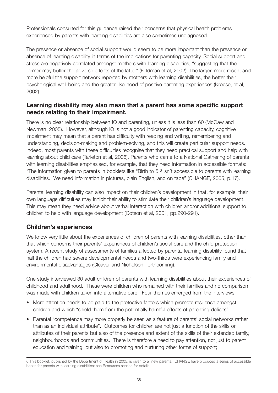Professionals consulted for this guidance raised their concerns that physical health problems experienced by parents with learning disabilities are also sometimes undiagnosed.

The presence or absence of social support would seem to be more important than the presence or absence of learning disability in terms of the implications for parenting capacity. Social support and stress are negatively correlated amongst mothers with learning disabilities, "suggesting that the former may buffer the adverse effects of the latter" (Feldman et al, 2002). The larger, more recent and more helpful the support network reported by mothers with learning disabilities, the better their psychological well-being and the greater likelihood of positive parenting experiences (Kroese, et al, 2002).

### **Learning disability may also mean that a parent has some specific support needs relating to their impairment.**

There is no clear relationship between IQ and parenting, unless it is less than 60 (McGaw and Newman, 2005). However, although IQ is not a good indicator of parenting capacity, cognitive impairment may mean that a parent has difficulty with reading and writing, remembering and understanding, decision-making and problem-solving, and this will create particular support needs. Indeed, most parents with these difficulties recognise that they need practical support and help with learning about child care (Tarleton et al, 2006). Parents who came to a National Gathering of parents with learning disabilities emphasised, for example, that they need information in accessible formats: "The information given to parents in booklets like "Birth to 5'<sup>6</sup> isn't accessible to parents with learning disabilities. We need information in pictures, plain English, and on tape" (CHANGE, 2005, p.17).

Parents' learning disability can also impact on their children's development in that, for example, their own language difficulties may inhibit their ability to stimulate their children's language development. This may mean they need advice about verbal interaction with children and/or additional support to children to help with language development (Cotson et al, 2001, pp.290-291).

# **Children's experiences**

We know very little about the experiences of children of parents with learning disabilities, other than that which concerns their parents' experiences of children's social care and the child protection system. A recent study of assessments of families affected by parental learning disability found that half the children had severe developmental needs and two-thirds were experiencing family and environmental disadvantages (Cleaver and Nicholson, forthcoming).

One study interviewed 30 adult children of parents with learning disabilities about their experiences of childhood and adulthood. These were children who remained with their families and no comparison was made with children taken into alternative care. Four themes emerged from the interviews:

- More attention needs to be paid to the protective factors which promote resilience amongst children and which "shield them from the potentially harmful effects of parenting deficits";
- Parental "competence may more properly be seen as a feature of parents' social networks rather than as an individual attribute". Outcomes for children are not just a function of the skills or attributes of their parents but also of the presence and extent of the skills of their extended family, neighbourhoods and communities. There is therefore a need to pay attention, not just to parent education and training, but also to promoting and nurturing other forms of support;

<sup>6</sup> This booklet, published by the Department of Health in 2005, is given to all new parents. CHANGE have produced a series of accessible books for parents with learning disabilities; see Resources section for details.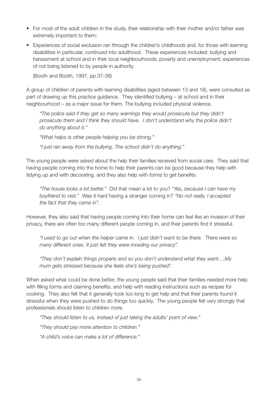- For most of the adult children in the study, their relationship with their mother and/or father was extremely important to them;
- Experiences of social exclusion ran through the children's childhoods and, for those with learning disabilities in particular, continued into adulthood. These experiences included: bullying and harassment at school and in their local neighbourhoods; poverty and unemployment; experiences of not being listened to by people in authority.

(Booth and Booth, 1997, pp.37-38)

A group of children of parents with learning disabilities (aged between 13 and 18), were consulted as part of drawing up this practice guidance. They identified bullying – at school and in their neighbourhood – as a major issue for them. The bullying included physical violence.

*"The police said if they get so many warnings they would prosecute but they didn't prosecute them and I think they should have. I don't understand why the police didn't do anything about it."*

*"What helps is other people helping you be strong."*

*"I just ran away from the bullying. The school didn't do anything."*

The young people were asked about the help their families received from social care. They said that having people coming into the home to help their parents can be good because they help with tidying up and with decorating, and they also help with forms to get benefits.

*"The house looks a lot better."* Did that mean a lot to you? "*Yes, because I can have my boyfriend to visit."* Was it hard having a stranger coming in? *"No not really, I accepted the fact that they came in".*

However, they also said that having people coming into their home can feel like an invasion of their privacy, there are often too many different people coming in, and their parents find it stressful.

*"I used to go out when the helper came in. I just didn't want to be there. There were so many different ones. It just felt they were invading our privacy".* 

*"They don't explain things properly and so you don't understand what they want….My mum gets stressed because she feels she's being pushed".*

When asked what could be done better, the young people said that their families needed more help with filling forms and claiming benefits, and help with reading instructions such as recipes for cooking. They also felt that it generally took too long to get help and that their parents found it stressful when they were pushed to do things too quickly. The young people felt very strongly that professionals should listen to children more.

*"They should listen to us, instead of just taking the adults' point of view."*

*"They should pay more attention to children."*

*"A child's voice can make a lot of difference."*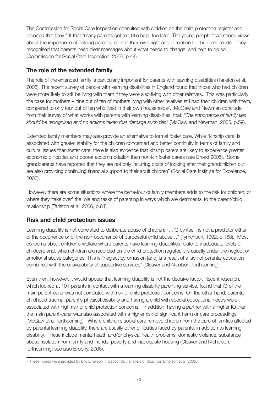The Commission for Social Care Inspection consulted with children on the child protection register and reported that they felt that "many parents get too little help, too late". The young people "had strong views about the importance of helping parents, both in their own right and in relation to children's needs. They recognised that parents need clear messages about what needs to change, and help to do so" (Commission for Social Care Inspection, 2006, p.44).

# **The role of the extended family**

The role of the extended family is particularly important for parents with learning disabilities (Tarleton et al, 2006). The recent survey of people with learning disabilities in England found that those who had children were more likely to still be living with them if they were also living with other relatives. This was particularly the case for mothers – nine out of ten of mothers living with other relatives still had their children with them, compared to only four out of ten who lived in their own households7. McGaw and Newman conclude, from their survey of what works with parents with learning disabilities, that: *"The importance of family ties should be recognised and no actions taken that damage such ties"* (McGaw and Newman, 2005, p.59).

Extended family members may also provide an alternative to formal foster care. While "kinship care' is associated with greater stability for the children concerned and better continuity in terms of family and cultural issues than foster care, there is also evidence that kinship carers are likely to experience greater economic difficulties and poorer accommodation than non-kin foster carers (see Broad 2005). Some grandparents have reported that they are not only incurring costs of looking after their grandchildren but are also providing continuing financial support to their adult children" (Social Care Institute for Excellence, 2006).

However, there are some situations where the behaviour of family members adds to the risk for children, or where they 'take over' the role and tasks of parenting in ways which are detrimental to the parent/child relationship (Tarleton et al, 2006, p.64).

# **Risk and child protection issues**

Learning disability is not correlated to deliberate abuse of children: "…IQ by itself, is not a predictor either of the occurrence or of the non-occurrence of purposeful child abuse…" (Tymchuck, 1992, p.168). Most concerns about children's welfare where parents have learning disabilities relate to inadequate levels of childcare and, when children are recorded on the child protection register, it is usually under the neglect or emotional abuse categories. This is "neglect by omission [and] is a result of a lack of parental education combined with the unavailability of supportive services" (Cleaver and Nicolson, forthcoming).

Even then, however, it would appear that learning disability is not the decisive factor. Recent research, which looked at 101 parents in contact with a learning disability parenting service, found that IQ of the main parent-carer was not correlated with risk of child protection concerns. On the other hand, parental childhood trauma, parent's physical disability and having a child with special educational needs were associated with high risk of child protection concerns. In addition, having a partner with a higher IQ than the main parent-carer was also associated with a higher risk of significant harm or care proceedings (McGaw et al, forthcoming). Where children's social care remove children from the care of families affected by parental learning disability, there are usually other difficulties faced by parents, in addition to learning disability. These include mental health and/or physical health problems, domestic violence, substance abuse, isolation from family and friends, poverty and inadequate housing (Cleaver and Nicholson, forthcoming; see also Brophy, 2006).

<sup>7</sup> These figures were provided by Eric Emerson in a secondary analysis of data from Emerson et al, 2005.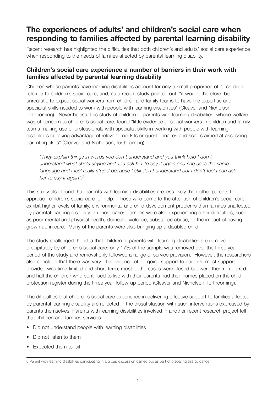# **The experiences of adults' and children's social care when responding to families affected by parental learning disability**

Recent research has highlighted the difficulties that both children's and adults' social care experience when responding to the needs of families affected by parental learning disability.

### **Children's social care experience a number of barriers in their work with families affected by parental learning disability**

Children whose parents have learning disabilities account for only a small proportion of all children referred to children's social care, and, as a recent study pointed out, "it would, therefore, be unrealistic to expect social workers from children and family teams to have the expertise and specialist skills needed to work with people with learning disabilities" (Cleaver and Nicholson, forthcoming). Nevertheless, this study of children of parents with learning disabilities, whose welfare was of concern to children's social care, found "little evidence of social workers in children and family teams making use of professionals with specialist skills in working with people with learning disabilities or taking advantage of relevant tool kits or questionnaires and scales aimed at assessing parenting skills" (Cleaver and Nicholson, forthcoming).

*"They explain things in words you don't understand and you think help I don't understand what she's saying and you ask her to say it again and she uses the same language and I feel really stupid because I still don't understand but I don't feel I can ask her to say it again".*8

This study also found that parents with learning disabilities are less likely than other parents to approach children's social care for help. Those who come to the attention of children's social care exhibit higher levels of family, environmental and child development problems than families unaffected by parental learning disability. In most cases, families were also experiencing other difficulties, such as poor mental and physical health, domestic violence, substance abuse, or the impact of having grown up in care. Many of the parents were also bringing up a disabled child.

The study challenged the idea that children of parents with learning disabilities are removed precipitately by children's social care: only 17% of the sample was removed over the three year period of the study and removal only followed a range of service provision. However, the researchers also conclude that there was very little evidence of on-going support to parents: most support provided was time-limited and short-term; most of the cases were closed but were then re-referred; and half the children who continued to live with their parents had their names placed on the child protection register during the three year follow-up period (Cleaver and Nicholson, forthcoming).

The difficulties that children's social care experience in delivering effective support to families affected by parental learning disability are reflected in the dissatisfaction with such interventions expressed by parents themselves. Parents with learning disabilities involved in another recent research project felt that children and families services:

- Did not understand people with learning disabilities
- Did not listen to them
- Expected them to fail

<sup>8</sup> Parent with learning disabilities participating in a group discussion carried out as part of preparing this guidance.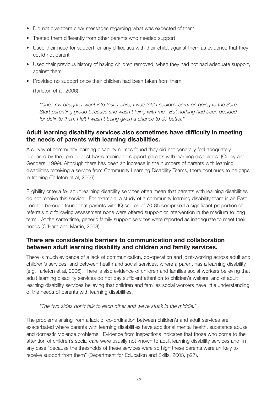- Did not give them clear messages regarding what was expected of them
- Treated them differently from other parents who needed support
- Used their need for support, or any difficulties with their child, against them as evidence that they could not parent
- Used their previous history of having children removed, when they had not had adequate support, against them
- Provided no support once their children had been taken from them.

(Tarleton et al, 2006)

*"Once my daughter went into foster care, I was told I couldn't carry on going to the Sure Start parenting group because she wasn't living with me. But nothing had been decided for definite then. I felt I wasn't being given a chance to do better."*

### **Adult learning disability services also sometimes have difficulty in meeting the needs of parents with learning disabilities.**

A survey of community learning disability nurses found they did not generally feel adequately prepared by their pre or post-basic training to support parents with learning disabilities (Culley and Genders, 1999). Although there has been an increase in the numbers of parents with learning disabilities receiving a service from Community Learning Disability Teams, there continues to be gaps in training (Tarleton et al, 2006).

Eligibility criteria for adult learning disability services often mean that parents with learning disabilities do not receive this service. For example, a study of a community learning disability team in an East London borough found that parents with IQ scores of 70-85 comprised a significant proportion of referrals but following assessment none were offered support or intervention in the medium to long term. At the same time, generic family support services were reported as inadequate to meet their needs (O'Hara and Martin, 2003).

### **There are considerable barriers to communication and collaboration between adult learning disability and children and family services.**

There is much evidence of a lack of communication, co-operation and joint-working across adult and children's services, and between health and social services, where a parent has a learning disability (e.g. Tarleton et al, 2006). There is also evidence of children and families social workers believing that adult learning disability services do not pay sufficient attention to children's welfare; and of adult learning disability services believing that children and families social workers have little understanding of the needs of parents with learning disabilities.

*"The two sides don't talk to each other and we're stuck in the middle."*

The problems arising from a lack of co-ordination between children's and adult services are exacerbated where parents with learning disabilities have additional mental health, substance abuse and domestic violence problems. Evidence from inspections indicates that those who come to the attention of children's social care were usually not known to adult learning disability services and, in any case "because the thresholds of these services were so high these parents were unlikely to receive support from them" (Department for Education and Skills, 2003, p27).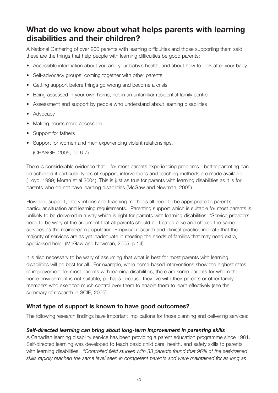# **What do we know about what helps parents with learning disabilities and their children?**

A National Gathering of over 200 parents with learning difficulties and those supporting them said these are the things that help people with learning difficulties be good parents:

- Accessible information about you and your baby's health, and about how to look after your baby
- Self-advocacy groups; coming together with other parents
- Getting support before things go wrong and become a crisis
- Being assessed in your own home, not in an unfamiliar residential family centre
- Assessment and support by people who understand about learning disabilities
- Advocacy
- Making courts more accessible
- Support for fathers
- Support for women and men experiencing violent relationships.

(CHANGE, 2005, pp.6-7)

There is considerable evidence that – for most parents experiencing problems - better parenting can be achieved if particular types of support, interventions and teaching methods are made available (Lloyd, 1999; Moran et al 2004). This is just as true for parents with learning disabilities as it is for parents who do not have learning disabilities (McGaw and Newman, 2005).

However, support, interventions and teaching methods all need to be appropriate to parent's particular situation and learning requirements. Parenting support which is suitable for most parents is unlikely to be delivered in a way which is right for parents with learning disabilities: "Service providers need to be wary of the argument that all parents should be treated alike and offered the same services as the mainstream population. Empirical research and clinical practice indicate that the majority of services are as yet inadequate in meeting the needs of families that may need extra, specialised help" (McGaw and Newman, 2005, p.14).

It is also necessary to be wary of assuming that what is best for most parents with learning disabilities will be best for all. For example, while home-based interventions show the highest rates of improvement for most parents with learning disabilities, there are some parents for whom the home environment is not suitable, perhaps because they live with their parents or other family members who exert too much control over them to enable them to learn effectively (see the summary of research in SCIE, 2005).

# **What type of support is known to have good outcomes?**

The following research findings have important implications for those planning and delivering services:

#### *Self-directed learning can bring about long-term improvement in parenting skills*

A Canadian learning disability service has been providing a parent education programme since 1981. Self-directed learning was developed to teach basic child care, health, and safety skills to parents with learning disabilities. *"Controlled field studies with 33 parents found that 96% of the self-trained skills rapidly reached the same level seen in competent parents and were maintained for as long as*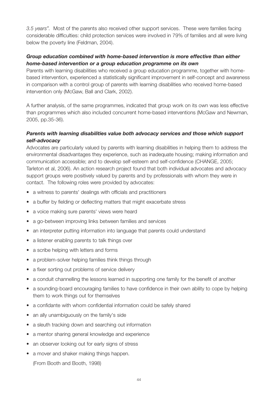*3.5 years".* Most of the parents also received other support services. These were families facing considerable difficulties: child protection services were involved in 79% of families and all were living below the poverty line (Feldman, 2004).

#### *Group education combined with home-based intervention is more effective than either home-based intervention or a group education programme on its own*

Parents with learning disabilities who received a group education programme, together with homebased intervention, experienced a statistically significant improvement in self-concept and awareness in comparison with a control group of parents with learning disabilities who received home-based intervention only (McGaw, Ball and Clark, 2002).

A further analysis, of the same programmes, indicated that group work on its own was less effective than programmes which also included concurrent home-based interventions (McGaw and Newman, 2005, pp.35-36).

#### *Parents with learning disabilities value both advocacy services and those which support self-advocacy*

Advocates are particularly valued by parents with learning disabilities in helping them to address the environmental disadvantages they experience, such as inadequate housing; making information and communication accessible; and to develop self-esteem and self-confidence (CHANGE, 2005; Tarleton et al, 2006). An action research project found that both individual advocates and advocacy support groups were positively valued by parents and by professionals with whom they were in contact. The following roles were provided by advocates:

- a witness to parents' dealings with officials and practitioners
- a buffer by fielding or deflecting matters that might exacerbate stress
- a voice making sure parents' views were heard
- a go-between improving links between families and services
- an interpreter putting information into language that parents could understand
- a listener enabling parents to talk things over
- a scribe helping with letters and forms
- a problem-solver helping families think things through
- a fixer sorting out problems of service delivery
- a conduit channelling the lessons learned in supporting one family for the benefit of another
- a sounding-board encouraging families to have confidence in their own ability to cope by helping them to work things out for themselves
- a confidante with whom confidential information could be safely shared
- an ally unambiguously on the family's side
- a sleuth tracking down and searching out information
- a mentor sharing general knowledge and experience
- an observer looking out for early signs of stress
- a mover and shaker making things happen.

(From Booth and Booth, 1998)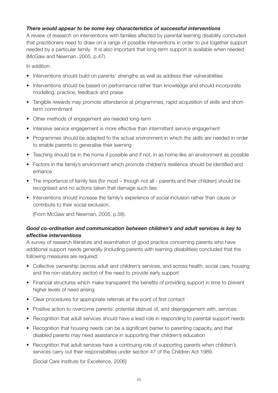#### *There would appear to be some key characteristics of successful interventions*

A review of research on interventions with families affected by parental learning disability concluded that practitioners need to draw on a range of possible interventions in order to put together support needed by a particular family. It is also important that long-term support is available when needed (McGaw and Newman, 2005, p.47).

In addition:

- Interventions should build on parents' strengths as well as address their vulnerabilities
- Interventions should be based on performance rather than knowledge and should incorporate modelling, practice, feedback and praise
- Tangible rewards may promote attendance at programmes, rapid acquisition of skills and shortterm commitment
- Other methods of engagement are needed long-term
- Intensive service engagement is more effective than intermittent service engagement
- Programmes should be adapted to the actual environment in which the skills are needed in order to enable parents to generalise their learning
- Teaching should be in the home if possible and if not, in as home-like an environment as possible
- Factors in the family's environment which promote children's resilience should be identified and enhance
- The importance of family ties (for most though not all parents and their children) should be recognised and no actions taken that damage such ties
- Interventions should increase the family's experience of social inclusion rather than cause or contribute to their social exclusion.

(From McGaw and Newman, 2005, p.58).

#### *Good co-ordination and communication between children's and adult services is key to effective interventions*

A survey of research literature and examination of good practice concerning parents who have additional support needs generally (including parents with learning disabilities) concluded that the following measures are required:

- Collective ownership (across adult and children's services, and across health, social care, housing and the non-statutory sector) of the need to provide early support
- Financial structures which make transparent the benefits of providing support in time to prevent higher levels of need arising
- Clear procedures for appropriate referrals at the point of first contact
- Positive action to overcome parents' potential distrust of, and disengagement with, services
- Recognition that adult services should have a lead role in responding to parental support needs
- Recognition that housing needs can be a significant barrier to parenting capacity, and that disabled parents may need assistance in supporting their children's education
- Recognition that adult services have a continuing role of supporting parents when children's services carry out their responsibilities under section 47 of the Children Act 1989.

(Social Care Institute for Excellence, 2006)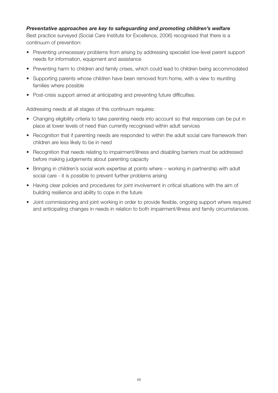#### *Preventative approaches are key to safeguarding and promoting children's welfare*

Best practice surveyed (Social Care Institute for Excellence, 2006) recognised that there is a continuum of prevention:

- Preventing unnecessary problems from arising by addressing specialist low-level parent support needs for information, equipment and assistance
- Preventing harm to children and family crises, which could lead to children being accommodated
- Supporting parents whose children have been removed from home, with a view to reuniting families where possible
- Post-crisis support aimed at anticipating and preventing future difficulties.

Addressing needs at all stages of this continuum requires:

- Changing eligibility criteria to take parenting needs into account so that responses can be put in place at lower levels of need than currently recognised within adult services
- Recognition that if parenting needs are responded to within the adult social care framework then children are less likely to be in need
- Recognition that needs relating to impairment/illness and disabling barriers must be addressed before making judgements about parenting capacity
- Bringing in children's social work expertise at points where working in partnership with adult social care - it is possible to prevent further problems arising
- Having clear policies and procedures for joint involvement in critical situations with the aim of building resilience and ability to cope in the future
- Joint commissioning and joint working in order to provide flexible, ongoing support where required and anticipating changes in needs in relation to both impairment/illness and family circumstances.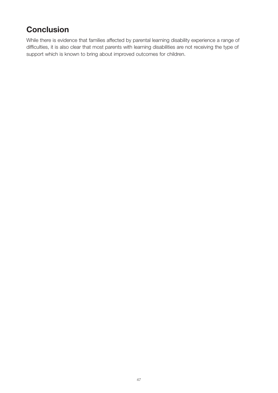# **Conclusion**

While there is evidence that families affected by parental learning disability experience a range of difficulties, it is also clear that most parents with learning disabilities are not receiving the type of support which is known to bring about improved outcomes for children.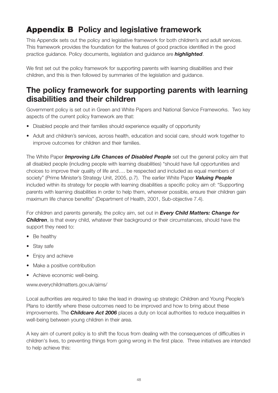# **Appendix B Policy and legislative framework**

This Appendix sets out the policy and legislative framework for both children's and adult services. This framework provides the foundation for the features of good practice identified in the good practice guidance. Policy documents, legislation and guidance are *highlighted*.

We first set out the policy framework for supporting parents with learning disabilities and their children, and this is then followed by summaries of the legislation and guidance.

# **The policy framework for supporting parents with learning disabilities and their children**

Government policy is set out in Green and White Papers and National Service Frameworks. Two key aspects of the current policy framework are that:

- Disabled people and their families should experience equality of opportunity
- Adult and children's services, across health, education and social care, should work together to improve outcomes for children and their families.

The White Paper *Improving Life Chances of Disabled People* set out the general policy aim that all disabled people (including people with learning disabilities) "should have full opportunities and choices to improve their quality of life and…. be respected and included as equal members of society" (Prime Minister's Strategy Unit, 2005, p.7). The earlier White Paper *Valuing People* included within its strategy for people with learning disabilities a specific policy aim of: "Supporting parents with learning disabilities in order to help them, wherever possible, ensure their children gain maximum life chance benefits" (Department of Health, 2001, Sub-objective 7.4).

For children and parents generally, the policy aim, set out in *Every Child Matters: Change for Children*, is that every child, whatever their background or their circumstances, should have the support they need to:

- Be healthy
- Stay safe
- Enjoy and achieve
- Make a positive contribution
- Achieve economic well-being.

www.everychildmatters.gov.uk/aims/

Local authorities are required to take the lead in drawing up strategic Children and Young People's Plans to identify where these outcomes need to be improved and how to bring about these improvements. The *Childcare Act 2006* places a duty on local authorities to reduce inequalities in well-being between young children in their area.

A key aim of current policy is to shift the focus from dealing with the consequences of difficulties in children's lives, to preventing things from going wrong in the first place. Three initiatives are intended to help achieve this: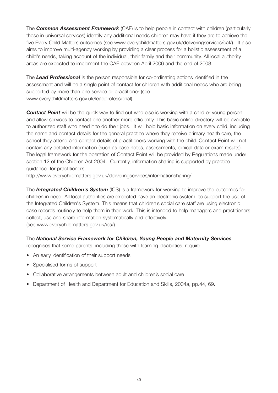The *Common Assessment Framework* (CAF) is to help people in contact with children (particularly those in universal services) identify any additional needs children may have if they are to achieve the five Every Child Matters outcomes (see www.everychildmatters.gov.uk/deliveringservices/caf/). It also aims to improve multi-agency working by providing a clear process for a holistic assessment of a child's needs, taking account of the individual, their family and their community. All local authority areas are expected to implement the CAF between April 2006 and the end of 2008.

The *Lead Professional* is the person responsible for co-ordinating actions identified in the assessment and will be a single point of contact for children with additional needs who are being supported by more than one service or practitioner (see www.everychildmatters.gov.uk/leadprofessional).

**Contact Point** will be the quick way to find out who else is working with a child or young person and allow services to contact one another more efficiently. This basic online directory will be available to authorized staff who need it to do their jobs. It will hold basic information on every child, including the name and contact details for the general practice where they receive primary health care, the school they attend and contact details of practitioners working with the child. Contact Point will not contain any detailed information (such as case notes, assessments, clinical data or exam results). The legal framework for the operation of Contact Point will be provided by Regulations made under section 12 of the Children Act 2004. Currently, information sharing is supported by practice guidance for practitioners.

http://www.everychildmatters.gov.uk/deliveringservices/informationsharing/

The *Integrated Children's System* (ICS) is a framework for working to improve the outcomes for children in need. All local authorities are expected have an electronic system to support the use of the Integrated Children's System. This means that children's social care staff are using electronic case records routinely to help them in their work. This is intended to help managers and practitioners collect, use and share information systematically and effectively. (see www.everychildmatters.gov.uk/ics/)

The *National Service Framework for Children, Young People and Maternity Services* recognises that some parents, including those with learning disabilities, require:

- An early identification of their support needs
- Specialised forms of support
- Collaborative arrangements between adult and children's social care
- Department of Health and Department for Education and Skills, 2004a, pp.44, 69.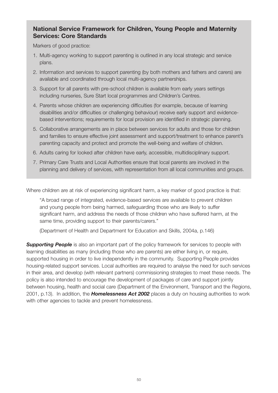### **National Service Framework for Children, Young People and Maternity Services: Core Standards**

Markers of good practice:

- 1. Multi-agency working to support parenting is outlined in any local strategic and service plans.
- 2. Information and services to support parenting (by both mothers and fathers and carers) are available and coordinated through local multi-agency partnerships.
- 3. Support for all parents with pre-school children is available from early years settings including nurseries, Sure Start local programmes and Children's Centres.
- 4. Parents whose children are experiencing difficulties (for example, because of learning disabilities and/or difficulties or challenging behaviour) receive early support and evidencebased interventions; requirements for local provision are identified in strategic planning.
- 5. Collaborative arrangements are in place between services for adults and those for children and families to ensure effective joint assessment and support/treatment to enhance parent's parenting capacity and protect and promote the well-being and welfare of children.
- 6. Adults caring for looked after children have early, accessible, multidisciplinary support.
- 7. Primary Care Trusts and Local Authorities ensure that local parents are involved in the planning and delivery of services, with representation from all local communities and groups.

Where children are at risk of experiencing significant harm, a key marker of good practice is that:

"A broad range of integrated, evidence-based services are available to prevent children and young people from being harmed, safeguarding those who are likely to suffer significant harm, and address the needs of those children who have suffered harm, at the same time, providing support to their parents/carers."

(Department of Health and Department for Education and Skills, 2004a, p.146)

**Supporting People** is also an important part of the policy framework for services to people with learning disabilities as many (including those who are parents) are either living in, or require, supported housing in order to live independently in the community. Supporting People provides housing-related support services. Local authorities are required to analyse the need for such services in their area, and develop (with relevant partners) commissioning strategies to meet these needs. The policy is also intended to encourage the development of packages of care and support jointly between housing, health and social care (Department of the Environment, Transport and the Regions, 2001, p.13). In addition, the *Homelessness Act 2002* places a duty on housing authorities to work with other agencies to tackle and prevent homelessness.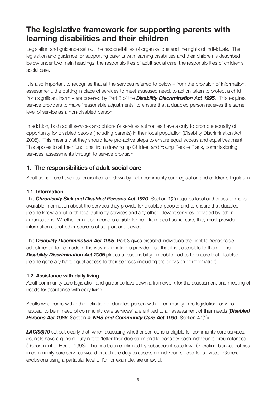# **The legislative framework for supporting parents with learning disabilities and their children**

Legislation and guidance set out the responsibilities of organisations and the rights of individuals. The legislation and guidance for supporting parents with learning disabilities and their children is described below under two main headings: the responsibilities of adult social care; the responsibilities of children's social care.

It is also important to recognise that all the services referred to below – from the provision of information, assessment, the putting in place of services to meet assessed need, to action taken to protect a child from significant harm – are covered by Part 3 of the *Disability Discrimination Act 1995*. This requires service providers to make 'reasonable adjustments' to ensure that a disabled person receives the same level of service as a non-disabled person.

In addition, both adult services and children's services authorities have a duty to promote equality of opportunity for disabled people (including parents) in their local population (Disability Discrimination Act 2005). This means that they should take pro-active steps to ensure equal access and equal treatment. This applies to all their functions, from drawing up Children and Young People Plans, commissioning services, assessments through to service provision.

# **1. The responsibilities of adult social care**

Adult social care have responsibilities laid down by both community care legislation and children's legislation.

### **1.1 Information**

The *Chronically Sick and Disabled Persons Act 1970*, Section 1(2) requires local authorities to make available information about the services they provide for disabled people; and to ensure that disabled people know about both local authority services and any other relevant services provided by other organisations. Whether or not someone is eligible for help from adult social care, they must provide information about other sources of support and advice.

The *Disability Discrimination Act 1995*, Part 3 gives disabled individuals the right to 'reasonable adjustments' to be made in the way information is provided, so that it is accessible to them. The **Disability Discrimination Act 2005** places a responsibility on public bodies to ensure that disabled people generally have equal access to their services (including the provision of information).

### **1.2 Assistance with daily living**

Adult community care legislation and guidance lays down a framework for the assessment and meeting of needs for assistance with daily living.

Adults who come within the definition of disabled person within community care legislation, or who "appear to be in need of community care services" are entitled to an assessment of their needs (*Disabled Persons Act 1986*, Section 4; *NHS and Community Care Act 1990*, Section 47(1)).

**LAC(93)10** set out clearly that, when assessing whether someone is eligible for community care services, councils have a general duty not to 'fetter their discretion' and to consider each individual's circumstances (Department of Health 1993) This has been confirmed by subsequent case law. Operating blanket policies in community care services would breach the duty to assess an individual's need for services. General exclusions using a particular level of IQ, for example, are unlawful.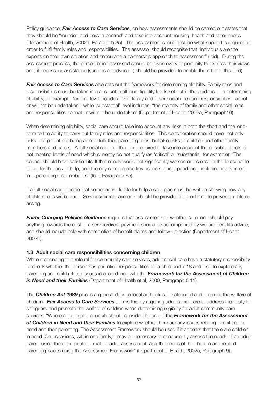Policy guidance, *Fair Access to Care Services*, on how assessments should be carried out states that they should be "rounded and person-centred" and take into account housing, health and other needs (Department of Health, 2002a, Paragraph 35) . The assessment should include what support is required in order to fulfil family roles and responsibilities. The assessor should recognise that "individuals are the experts on their own situation and encourage a partnership approach to assessment" (Ibid). During the assessment process, the person being assessed should be given every opportunity to express their views and, if necessary, assistance (such as an advocate) should be provided to enable them to do this (Ibid).

*Fair Access to Care Services* also sets out the framework for determining eligibility. Family roles and responsibilities must be taken into account in all four eligibility levels set out in the guidance. In determining eligibility, for example, 'critical' level includes: "vital family and other social roles and responsibilities cannot or will not be undertaken"; while 'substantial' level includes: "the majority of family and other social roles and responsibilities cannot or will not be undertaken" (Department of Health, 2002a, Paragraph16).

When determining eligibility, social care should take into account any risks in both the short and the longterm to the ability to carry out family roles and responsibilities. This consideration should cover not only risks to a parent not being able to fulfil their parenting roles, but also risks to children and other family members and carers. Adult social care are therefore required to take into account the possible effects of not meeting levels of need which currently do not qualify (as 'critical' or 'substantial' for example): "The council should have satisfied itself that needs would not significantly worsen or increase in the foreseeable future for the lack of help, and thereby compromise key aspects of independence, including involvement in….parenting responsibilities" (Ibid. Paragraph 65).

If adult social care decide that someone is eligible for help a care plan must be written showing how any eligible needs will be met. Services/direct payments should be provided in good time to prevent problems arising.

**Fairer Charging Policies Guidance** requires that assessments of whether someone should pay anything towards the cost of a service/direct payment should be accompanied by welfare benefits advice, and should include help with completion of benefit claims and follow-up action (Department of Health, 2003b).

#### **1.3 Adult social care responsibilities concerning children**

When responding to a referral for community care services, adult social care have a statutory responsibility to check whether the person has parenting responsibilities for a child under 18 and if so to explore any parenting and child related issues in accordance with the *Framework for the Assessment of Children in Need and their Families* (Department of Health et al, 2000, Paragraph 5.11).

The *Children Act 1989* places a general duty on local authorities to safeguard and promote the welfare of children. *Fair Access to Care Services* affirms this by requiring adult social care to address their duty to safeguard and promote the welfare of children when determining eligibility for adult community care services. "Where appropriate, councils should consider the use of the *Framework for the Assessment of Children in Need and their Families* to explore whether there are any issues relating to children in need and their parenting. The Assessment Framework should be used if it appears that there are children in need. On occasions, within one family, it may be necessary to concurrently assess the needs of an adult parent using the appropriate format for adult assessment, and the needs of the children and related parenting issues using the Assessment Framework" (Department of Health, 2002a, Paragraph 9).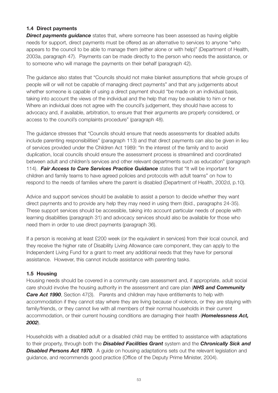#### **1.4 Direct payments**

**Direct payments guidance** states that, where someone has been assessed as having eligible needs for support, direct payments must be offered as an alternative to services to anyone "who appears to the council to be able to manage them (either alone or with help)" (Department of Health, 2003a, paragraph 47). Payments can be made directly to the person who needs the assistance, or to someone who will manage the payments on their behalf (paragraph 42).

The guidance also states that "Councils should not make blanket assumptions that whole groups of people will or will not be capable of managing direct payments" and that any judgements about whether someone is capable of using a direct payment should "be made on an individual basis, taking into account the views of the individual and the help that may be available to him or her. Where an individual does not agree with the council's judgement, they should have access to advocacy and, if available, arbitration, to ensure that their arguments are properly considered, or access to the council's complaints procedure" (paragraph 48).

The guidance stresses that "Councils should ensure that needs assessments for disabled adults include parenting responsibilities" (paragraph 113) and that direct payments can also be given in lieu of services provided under the Children Act 1989: "In the interest of the family and to avoid duplication, local councils should ensure the assessment process is streamlined and coordinated between adult and children's services and other relevant departments such as education" (paragraph 114). *Fair Access to Care Services Practice Guidance* states that "It will be important for children and family teams to have agreed policies and protocols with adult teams" on how to respond to the needs of families where the parent is disabled (Department of Health, 2002d, p.10).

Advice and support services should be available to assist a person to decide whether they want direct payments and to provide any help they may need in using them (Ibid., paragraphs 24-35). These support services should be accessible, taking into account particular needs of people with learning disabilities (paragraph 31) and advocacy services should also be available for those who need them in order to use direct payments (paragraph 36).

If a person is receiving at least £200 week (or the equivalent in services) from their local council, and they receive the higher rate of Disability Living Allowance care component, they can apply to the Independent Living Fund for a grant to meet any additional needs that they have for personal assistance. However, this cannot include assistance with parenting tasks.

#### **1.5 Housing**

Housing needs should be covered in a community care assessment and, if appropriate, adult social care should involve the housing authority in the assessment and care plan (*NHS and Community Care Act 1990*, Section 47(3). Parents and children may have entitlements to help with accommodation if they cannot stay where they are living because of violence, or they are staying with family/friends, or they cannot live with all members of their normal households in their current accommodation, or their current housing conditions are damaging their health (*Homelessness Act, 2002*).

Households with a disabled adult or a disabled child may be entitled to assistance with adaptations to their property, through both the *Disabled Facilities Grant* system and the *Chronically Sick and* **Disabled Persons Act 1970**. A quide on housing adaptations sets out the relevant legislation and guidance, and recommends good practice (Office of the Deputy Prime Minister, 2004).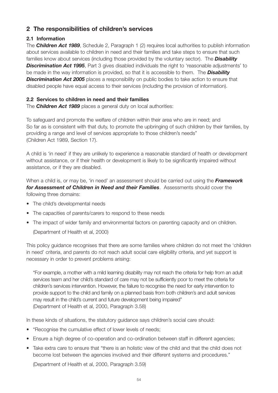# **2 The responsibilities of children's services**

### **2.1 Information**

The *Children Act 1989*, Schedule 2, Paragraph 1 (2) requires local authorities to publish information about services available to children in need and their families and take steps to ensure that such families know about services (including those provided by the voluntary sector). The *Disability* **Discrimination Act 1995**, Part 3 gives disabled individuals the right to 'reasonable adjustments' to be made in the way information is provided, so that it is accessible to them. The *Disability* **Discrimination Act 2005** places a responsibility on public bodies to take action to ensure that disabled people have equal access to their services (including the provision of information).

#### **2.2 Services to children in need and their families**

The *Children Act 1989* places a general duty on local authorities:

To safeguard and promote the welfare of children within their area who are in need; and So far as is consistent with that duty, to promote the upbringing of such children by their families, by providing a range and level of services appropriate to those children's needs" (Children Act 1989, Section 17).

A child is 'in need' if they are unlikely to experience a reasonable standard of health or development without assistance, or if their health or development is likely to be significantly impaired without assistance, or if they are disabled.

When a child is, or may be, 'in need' an assessment should be carried out using the *Framework for Assessment of Children in Need and their Families*. Assessments should cover the following three domains:

- The child's developmental needs
- The capacities of parents/carers to respond to these needs
- The impact of wider family and environmental factors on parenting capacity and on children.

(Department of Health et al, 2000)

This policy guidance recognises that there are some families where children do not meet the 'children in need' criteria, and parents do not reach adult social care eligibility criteria, and yet support is necessary in order to prevent problems arising:

"For example, a mother with a mild learning disability may not reach the criteria for help from an adult services team and her child's standard of care may not be sufficiently poor to meet the criteria for children's services intervention. However, the failure to recognise the need for early intervention to provide support to the child and family on a planned basis from both children's and adult services may result in the child's current and future development being impaired" (Department of Health et al, 2000, Paragraph 3.58)

In these kinds of situations, the statutory guidance says children's social care should:

- "Recognise the cumulative effect of lower levels of needs;
- Ensure a high degree of co-operation and co-ordination between staff in different agencies;
- Take extra care to ensure that "there is an holistic view of the child and that the child does not become lost between the agencies involved and their different systems and procedures."

(Department of Health et al, 2000, Paragraph 3.59)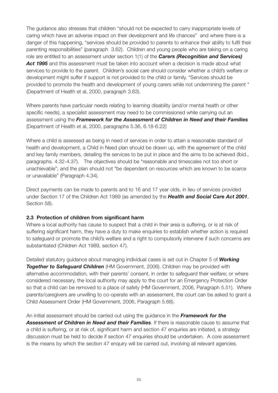The guidance also stresses that children "should not be expected to carry inappropriate levels of caring which have an adverse impact on their development and life chances" and where there is a danger of this happening, "services should be provided to parents to enhance their ability to fulfil their parenting responsibilities" (paragraph 3.62). Children and young people who are taking on a caring role are entitled to an assessment under section 1(1) of the *Carers (Recognition and Services)* Act 1995 and this assessment must be taken into account when a decision is made about what services to provide to the parent. Children's social care should consider whether a child's welfare or development might suffer if support is not provided to the child or family. "Services should be provided to promote the health and development of young carers while not undermining the parent " (Department of Health et al, 2000, paragraph 3.63).

Where parents have particular needs relating to learning disability (and/or mental health or other specific needs), a specialist assessment may need to be commissioned while carrying out an assessment using the *Framework for the Assessment of Children in Need and their Families* (Department of Health et al, 2000, paragraphs 5.36, 6.18-6.22)

Where a child is assessed as being in need of services in order to attain a reasonable standard of health and development, a Child in Need plan should be drawn up, with the agreement of the child and key family members, detailing the services to be put in place and the aims to be achieved (Ibid., paragraphs. 4.32-4.37). The objectives should be "reasonable and timescales not too short or unachievable"; and the plan should not "be dependent on resources which are known to be scarce or unavailable" (Paragraph 4.34).

Direct payments can be made to parents and to 16 and 17 year olds, in lieu of services provided under Section 17 of the Children Act 1989 (as amended by the *Health and Social Care Act 2001*, Section 58).

#### **2.3 Protection of children from significant harm**

Where a local authority has cause to suspect that a child in their area is suffering, or is at risk of suffering significant harm, they have a duty to make enquiries to establish whether action is required to safeguard or promote the child's welfare and a right to compulsorily intervene if such concerns are substantiated (Children Act 1989, section 47).

Detailed statutory guidance about managing individual cases is set out in Chapter 5 of *Working Together to Safeguard Children* (HM Government, 2006). Children may be provided with alternative accommodation, with their parents' consent, in order to safeguard their welfare; or where considered necessary, the local authority may apply to the court for an Emergency Protection Order so that a child can be removed to a place of safety (HM Government, 2006, Paragraph 5.51). Where parents/caregivers are unwilling to co-operate with an assessment, the court can be asked to grant a Child Assessment Order (HM Government, 2006, Paragraph 5.68).

An initial assessment should be carried out using the guidance in the *Framework for the Assessment of Children in Need and their Families*. If there is reasonable cause to assume that a child is suffering, or at risk of, significant harm and section 47 enquiries are initiated, a strategy discussion must be held to decide if section 47 enquiries should be undertaken. A core assessment is the means by which the section 47 enquiry will be carried out, involving all relevant agencies.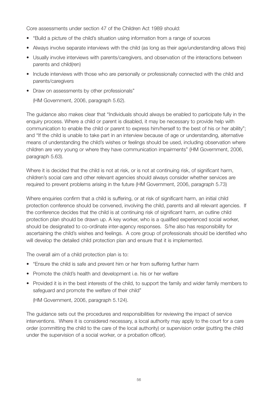Core assessments under section 47 of the Children Act 1989 should:

- "Build a picture of the child's situation using information from a range of sources
- Always involve separate interviews with the child (as long as their age/understanding allows this)
- Usually involve interviews with parents/caregivers, and observation of the interactions between parents and child(ren)
- Include interviews with those who are personally or professionally connected with the child and parents/caregivers
- Draw on assessments by other professionals"

(HM Government, 2006, paragraph 5.62).

The guidance also makes clear that "Individuals should always be enabled to participate fully in the enquiry process. Where a child or parent is disabled, it may be necessary to provide help with communication to enable the child or parent to express him/herself to the best of his or her ability"; and "If the child is unable to take part in an interview because of age or understanding, alternative means of understanding the child's wishes or feelings should be used, including observation where children are very young or where they have communication impairments" (HM Government, 2006, paragraph 5.63).

Where it is decided that the child is not at risk, or is not at continuing risk, of significant harm, children's social care and other relevant agencies should always consider whether services are required to prevent problems arising in the future (HM Government, 2006, paragraph 5.73)

Where enquiries confirm that a child is suffering, or at risk of significant harm, an initial child protection conference should be convened, involving the child, parents and all relevant agencies. If the conference decides that the child is at continuing risk of significant harm, an outline child protection plan should be drawn up. A key worker, who is a qualified experienced social worker, should be designated to co-ordinate inter-agency responses. S/he also has responsibility for ascertaining the child's wishes and feelings. A core group of professionals should be identified who will develop the detailed child protection plan and ensure that it is implemented.

The overall aim of a child protection plan is to:

- "Ensure the child is safe and prevent him or her from suffering further harm
- Promote the child's health and development i.e. his or her welfare
- Provided it is in the best interests of the child, to support the family and wider family members to safeguard and promote the welfare of their child"

(HM Government, 2006, paragraph 5.124).

The guidance sets out the procedures and responsibilities for reviewing the impact of service interventions. Where it is considered necessary, a local authority may apply to the court for a care order (committing the child to the care of the local authority) or supervision order (putting the child under the supervision of a social worker, or a probation officer).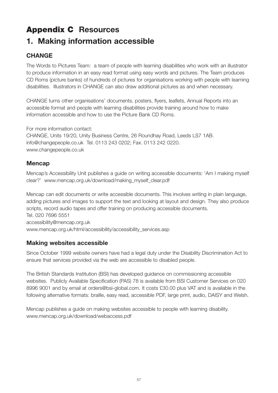# **Appendix C Resources**

# **1. Making information accessible**

# **CHANGE**

The Words to Pictures Team: a team of people with learning disabilities who work with an illustrator to produce information in an easy read format using easy words and pictures. The Team produces CD Roms (picture banks) of hundreds of pictures for organisations working with people with learning disabilities. Illustrators in CHANGE can also draw additional pictures as and when necessary.

CHANGE turns other organisations' documents, posters, flyers, leaflets, Annual Reports into an accessible format and people with learning disabilities provide training around how to make information accessible and how to use the Picture Bank CD Roms.

For more information contact:

CHANGE, Units 19/20, Unity Business Centre, 26 Roundhay Road, Leeds LS7 1AB. info@changepeople.co.uk Tel. 0113 243 0202; Fax. 0113 242 0220. www.changepeople.co.uk

### **Mencap**

Mencap's Accessibility Unit publishes a guide on writing accessible documents: 'Am I making myself clear?' www.mencap.org.uk/download/making\_myself\_clear.pdf

Mencap can edit documents or write accessible documents. This involves writing in plain language, adding pictures and images to support the text and looking at layout and design. They also produce scripts, record audio tapes and offer training on producing accessible documents. Tel. 020 7696 5551 accessibility@mencap.org.uk www.mencap.org.uk/html/accessibility/accessibility\_services.asp

# **Making websites accessible**

Since October 1999 website owners have had a legal duty under the Disability Discrimination Act to ensure that services provided via the web are accessible to disabled people.

The British Standards Institution (BSI) has developed guidance on commissioning accessible websites. Publicly Available Specification (PAS) 78 is available from BSI Customer Services on 020 8996 9001 and by email at orders@bsi-global.com. It costs £30.00 plus VAT and is available in the following alternative formats: braille, easy read, accessible PDF, large print, audio, DAISY and Welsh.

Mencap publishes a guide on making websites accessible to people with learning disability. www.mencap.org.uk/download/webaccess.pdf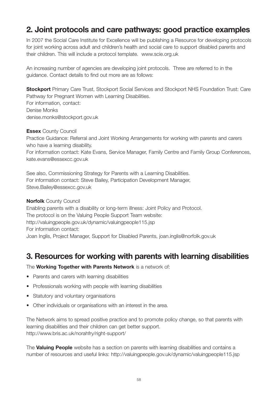# **2. Joint protocols and care pathways: good practice examples**

In 2007 the Social Care Institute for Excellence will be publishing a Resource for developing protocols for joint working across adult and children's health and social care to support disabled parents and their children. This will include a protocol template. www.scie.org.uk

An increasing number of agencies are developing joint protocols. Three are referred to in the guidance. Contact details to find out more are as follows:

**Stockport** Primary Care Trust, Stockport Social Services and Stockport NHS Foundation Trust: Care Pathway for Pregnant Women with Learning Disabilities. For information, contact: Denise Monks denise.monks@stockport.gov.uk

**Essex** County Council

Practice Guidance: Referral and Joint Working Arrangements for working with parents and carers who have a learning disability. For information contact: Kate Evans, Service Manager, Family Centre and Family Group Conferences, kate.evans@essexcc.gov.uk

See also, Commissioning Strategy for Parents with a Learning Disabilities. For information contact: Steve Bailey, Participation Development Manager, Steve.Bailey@essexcc.gov.uk

**Norfolk** County Council Enabling parents with a disability or long-term illness: Joint Policy and Protocol. The protocol is on the Valuing People Support Team website: http://valuingpeople.gov.uk/dynamic/valuingpeople115.jsp For information contact: Joan Inglis, Project Manager, Support for Disabled Parents, joan.inglis@norfolk.gov.uk

# **3. Resources for working with parents with learning disabilities**

The **Working Together with Parents Network** is a network of:

- Parents and carers with learning disabilities
- Professionals working with people with learning disabilities
- Statutory and voluntary organisations
- Other individuals or organisations with an interest in the area.

The Network aims to spread positive practice and to promote policy change, so that parents with learning disabilities and their children can get better support. http://www.bris.ac.uk/norahfry/right-support/

The **Valuing People** website has a section on parents with learning disabilities and contains a number of resources and useful links: http://valuingpeople.gov.uk/dynamic/valuingpeople115.jsp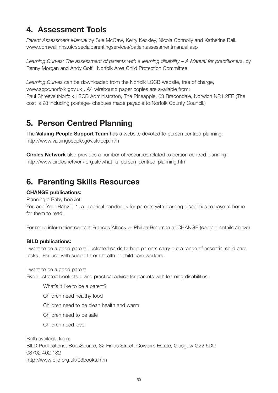# **4. Assessment Tools**

*Parent Assessment Manual* by Sue McGaw, Kerry Keckley, Nicola Connolly and Katherine Ball. www.cornwall.nhs.uk/specialparentingservices/patientassessmentmanual.asp

*Learning Curves: The assessment of parents with a learning disability – A Manual for practitioners*, by Penny Morgan and Andy Goff. Norfolk Area Child Protection Committee.

*Learning Curves* can be downloaded from the Norfolk LSCB website, free of charge, www.acpc.norfolk.gov.uk . A4 wirebound paper copies are available from: Paul Shreeve (Norfolk LSCB Administrator), The Pineapple, 63 Bracondale, Norwich NR1 2EE (The cost is £8 including postage- cheques made payable to Norfolk County Council.)

# **5. Person Centred Planning**

The **Valuing People Support Team** has a website devoted to person centred planning: http://www.valuingpeople.gov.uk/pcp.htm

**Circles Network** also provides a number of resources related to person centred planning: http://www.circlesnetwork.org.uk/what\_is\_person\_centred\_planning.htm

# **6. Parenting Skills Resources**

#### **CHANGE publications:**

Planning a Baby booklet

You and Your Baby 0-1: a practical handbook for parents with learning disabilities to have at home for them to read.

For more information contact Frances Affleck or Philipa Bragman at CHANGE (contact details above)

#### **BILD publications:**

I want to be a good parent Illustrated cards to help parents carry out a range of essential child care tasks. For use with support from health or child care workers.

I want to be a good parent Five illustrated booklets giving practical advice for parents with learning disabilities:

What's it like to be a parent? Children need healthy food Children need to be clean health and warm Children need to be safe Children need love Both available from:

BILD Publications, BookSource, 32 Finlas Street, Cowlairs Estate, Glasgow G22 5DU 08702 402 182 http://www.bild.org.uk/03books.htm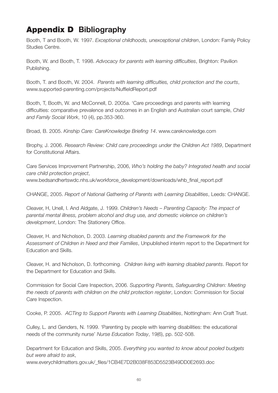# **Appendix D Bibliography**

Booth, T and Booth, W. 1997. *Exceptional childhoods, unexceptional children*, London: Family Policy Studies Centre.

Booth, W. and Booth, T. 1998. *Advocacy for parents with learning difficulties*, Brighton: Pavilion Publishing.

Booth, T. and Booth, W. 2004. *Parents with learning difficulties, child protection and the courts*, www.supported-parenting.com/projects/NuffieldReport.pdf

Booth, T, Booth, W. and McConnell, D. 2005a. 'Care proceedings and parents with learning difficulties: comparative prevalence and outcomes in an English and Australian court sample, *Child and Family Social Work*, 10 (4), pp.353-360.

Broad, B. 2005. *Kinship Care: CareKnowledge Briefing 14*. www.careknowledge.com

Brophy, J. 2006. *Research Review: Child care proceedings under the Children Act 1989*, Department for Constitutional Affairs.

Care Services Improvement Partnership, 2006, *Who's holding the baby? Integrated health and social care child protection project*,

www.bedsandhertswdc.nhs.uk/workforce\_development/downloads/whb\_final\_report.pdf

CHANGE, 2005. *Report of National Gathering of Parents with Learning Disabilities*, Leeds: CHANGE.

Cleaver, H, Unell, I. And Aldgate, J. 1999. *Children's Needs – Parenting Capacity: The impact of parental mental illness, problem alcohol and drug use, and domestic violence on children's development*, London: The Stationery Office.

Cleaver, H. and Nicholson, D. 2003. *Learning disabled parents and the Framework for the Assessment of Children in Need and their Families*, Unpublished interim report to the Department for Education and Skills.

Cleaver, H. and Nicholson, D. forthcoming. *Children living with learning disabled parents*. Report for the Department for Education and Skills.

Commission for Social Care Inspection, 2006. *Supporting Parents, Safeguarding Children: Meeting the needs of parents with children on the child protection register*, London: Commission for Social Care Inspection.

Cooke, P. 2005. *ACTing to Support Parents with Learning Disabilities*, Nottingham: Ann Craft Trust.

Culley, L. and Genders, N. 1999. 'Parenting by people with learning disabilities: the educational needs of the community nurse' *Nurse Education Today*, 19(6), pp. 502-508.

Department for Education and Skills, 2005. *Everything you wanted to know about pooled budgets but were afraid to ask*,

www.everychildmatters.gov.uk/\_files/1CB4E7D2B038F853D5523B49DD0E2693.doc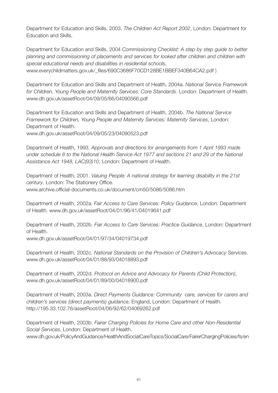Department for Education and Skills, 2003. *The Children Act Report 2002*, London: Department for Education and Skills.

Department for Education and Skills, 2004 *Commissioning Checklist: A step by step guide to better planning and commissioning of placements and services for looked after children and children with special educational needs and disabilities in residential schools*, www.everychildmatters.gov.uk/\_files/690C3686F70CD128BE1BBEF340B64CA2.pdf )

Department for Education and Skills and Department of Health, 2004a. *National Service Framework for Children, Young People and Maternity Services: Core Standards*. London: Department of Health. www.dh.gov.uk/assetRoot/04/09/05/66/04090566.pdf

Department for Education and Skills and Department of Health, 2004b. *The National Service Framework for Children, Young People and Maternity Services: Maternity Services*, London: Department of Health.

www.dh.gov.uk/assetRoot/04/09/05/23/04090523.pdf

Department of Health, 1993. *Approvals and directions for arrangements from 1 April 1993 made under schedule 8 to the National Health Service Act 1977 and sections 21 and 29 of the National Assistance Act 1948, LAC(93)10*, London: Department of Health.

Department of Health, 2001. *Valuing People: A national strategy for learning disability in the 21st century*, London: The Stationery Office. www.archive.official-documents.co.uk/document/cm50/5086/5086.htm

Department of Health, 2002a. *Fair Access to Care Services: Policy Guidance*, London: Department of Health. www.dh.gov.uk/assetRoot/04/01/96/41/04019641.pdf

Department of Health, 2002b. *Fair Access to Care Services: Practice Guidance*, London: Department of Health.

www.dh.gov.uk/assetRoot/04/01/97/34/04019734.pdf

Department of Health, 2002c. *National Standards on the Provision of Children's Advocacy Services*. www.dh.gov.uk/assetRoot/04/01/88/93/04018893.pdf

Department of Health, 2002d. *Protocol on Advice and Advocacy for Parents (Child Protection)*, www.dh.gov.uk/assetRoot/04/01/89/00/04018900.pdf

Department of Health, 2003a. *Direct Payments Guidance: Community care, services for carers and children's services (direct payments) guidance*, England, London: Department of Health. http://195.33.102.76/assetRoot/04/06/92/62/04069262.pdf

Department of Health, 2003b. *Fairer Charging Policies for Home Care and other Non-Residential Social Services*, London: Department of Health.

www.dh.gov.uk/PolicyAndGuidance/HealthAndSocialCareTopics/SocialCare/FairerChargingPolicies/fs/en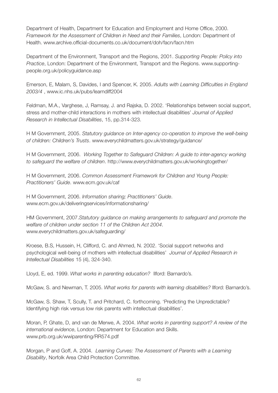Department of Health, Department for Education and Employment and Home Office, 2000. *Framework for the Assessment of Children in Need and their Families*, London: Department of Health. www.archive.official-documents.co.uk/document/doh/facn/facn.htm

Department of the Environment, Transport and the Regions, 2001. *Supporting People: Policy into Practice*, London: Department of the Environment, Transport and the Regions. www.supportingpeople.org.uk/policyguidance.asp

Emerson, E, Malam, S, Davides, I and Spencer, K. 2005. *Adults with Learning Difficulties in England 2003/4* , www.ic.nhs.uk/pubs/learndiff2004

Feldman, M.A., Varghese, J, Ramsay, J. and Rajska, D. 2002. 'Relationships between social support, stress and mother-child interactions in mothers with intellectual disabilities' *Journal of Applied Research in Intellectual Disabilities*, 15, pp.314-323.

H M Government, 2005. *Statutory guidance on Inter-agency co-operation to improve the well-being of children: Children's Trusts*. www.everychildmatters.gov.uk/strategy/guidance/

H M Government, 2006. *Working Together to Safeguard Children: A guide to inter-agency working to safeguard the welfare of children*. http://www.everychildmatters.gov.uk/workingtogether/

H M Government, 2006. *Common Assessment Framework for Children and Young People: Practitioners' Guide*. www.ecm.gov.uk/caf

H M Government, 2006. *Information sharing; Practitioners' Guide*. www.ecm.gov.uk/deliveringservices/informationsharing/

HM Government, 2007.*Statutory guidance on making arrangements to safeguard and promote the welfare of children under section 11 of the Children Act 2004*. www.everychildmatters.gov.uk/safeguarding/

Kroese, B.S, Hussein, H, Clifford, C. and Ahmed, N. 2002. 'Social support networks and psychological well-being of mothers with intellectual disabilities' *Journal of Applied Research in Intellectual Disabilities* 15 (4), 324-340.

Lloyd, E, ed. 1999. *What works in parenting education?* Ilford: Barnardo's.

McGaw, S. and Newman, T. 2005. *What works for parents with learning disabilities?* Ilford: Barnardo's.

McGaw, S. Shaw, T, Scully, T. and Pritchard, C. forthcoming. 'Predicting the Unpredictable? Identifying high risk versus low risk parents with intellectual disabilities'.

Moran, P, Ghate, D, and van de Merwe, A. 2004. *What works in parenting support? A review of the international evidence*, London: Department for Education and Skills. www.prb.org.uk/wwiparenting/RR574.pdf

Morgan, P and Goff, A. 2004. *Learning Curves: The Assessment of Parents with a Learning Disability*, Norfolk Area Child Protection Committee.